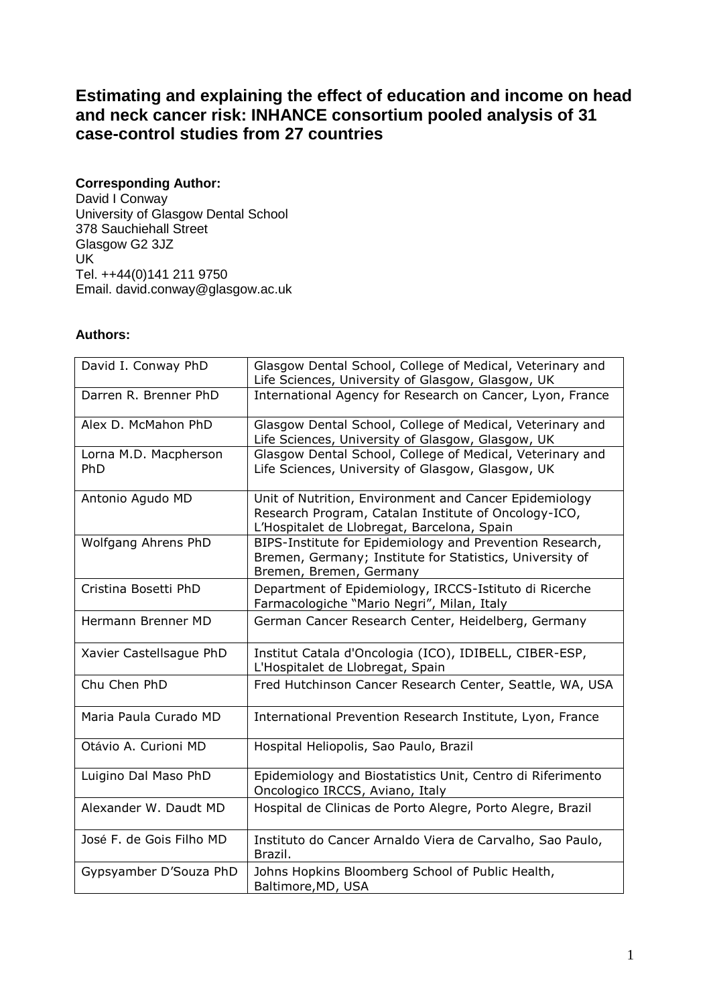# **Estimating and explaining the effect of education and income on head and neck cancer risk: INHANCE consortium pooled analysis of 31 case-control studies from 27 countries**

## **Corresponding Author:**

David I Conway University of Glasgow Dental School 378 Sauchiehall Street Glasgow G2 3JZ UK Tel. ++44(0)141 211 9750 Email. david.conway@glasgow.ac.uk

## **Authors:**

| David I. Conway PhD          | Glasgow Dental School, College of Medical, Veterinary and<br>Life Sciences, University of Glasgow, Glasgow, UK                                                |
|------------------------------|---------------------------------------------------------------------------------------------------------------------------------------------------------------|
| Darren R. Brenner PhD        | International Agency for Research on Cancer, Lyon, France                                                                                                     |
| Alex D. McMahon PhD          | Glasgow Dental School, College of Medical, Veterinary and<br>Life Sciences, University of Glasgow, Glasgow, UK                                                |
| Lorna M.D. Macpherson<br>PhD | Glasgow Dental School, College of Medical, Veterinary and<br>Life Sciences, University of Glasgow, Glasgow, UK                                                |
| Antonio Agudo MD             | Unit of Nutrition, Environment and Cancer Epidemiology<br>Research Program, Catalan Institute of Oncology-ICO,<br>L'Hospitalet de Llobregat, Barcelona, Spain |
| Wolfgang Ahrens PhD          | BIPS-Institute for Epidemiology and Prevention Research,<br>Bremen, Germany; Institute for Statistics, University of<br>Bremen, Bremen, Germany               |
| Cristina Bosetti PhD         | Department of Epidemiology, IRCCS-Istituto di Ricerche<br>Farmacologiche "Mario Negri", Milan, Italy                                                          |
| Hermann Brenner MD           | German Cancer Research Center, Heidelberg, Germany                                                                                                            |
| Xavier Castellsague PhD      | Institut Catala d'Oncologia (ICO), IDIBELL, CIBER-ESP,<br>L'Hospitalet de Llobregat, Spain                                                                    |
| Chu Chen PhD                 | Fred Hutchinson Cancer Research Center, Seattle, WA, USA                                                                                                      |
| Maria Paula Curado MD        | International Prevention Research Institute, Lyon, France                                                                                                     |
| Otávio A. Curioni MD         | Hospital Heliopolis, Sao Paulo, Brazil                                                                                                                        |
| Luigino Dal Maso PhD         | Epidemiology and Biostatistics Unit, Centro di Riferimento<br>Oncologico IRCCS, Aviano, Italy                                                                 |
| Alexander W. Daudt MD        | Hospital de Clinicas de Porto Alegre, Porto Alegre, Brazil                                                                                                    |
| José F. de Gois Filho MD     | Instituto do Cancer Arnaldo Viera de Carvalho, Sao Paulo,<br>Brazil.                                                                                          |
| Gypsyamber D'Souza PhD       | Johns Hopkins Bloomberg School of Public Health,<br>Baltimore, MD, USA                                                                                        |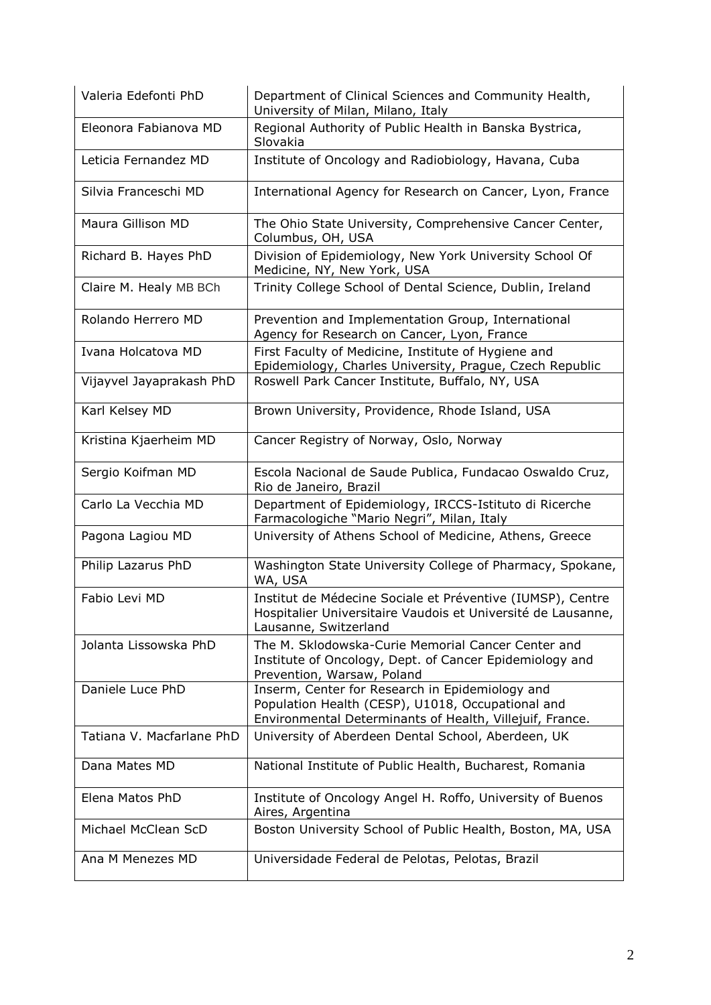| Valeria Edefonti PhD      | Department of Clinical Sciences and Community Health,<br>University of Milan, Milano, Italy                                                                      |
|---------------------------|------------------------------------------------------------------------------------------------------------------------------------------------------------------|
| Eleonora Fabianova MD     | Regional Authority of Public Health in Banska Bystrica,<br>Slovakia                                                                                              |
| Leticia Fernandez MD      | Institute of Oncology and Radiobiology, Havana, Cuba                                                                                                             |
| Silvia Franceschi MD      | International Agency for Research on Cancer, Lyon, France                                                                                                        |
| Maura Gillison MD         | The Ohio State University, Comprehensive Cancer Center,<br>Columbus, OH, USA                                                                                     |
| Richard B. Hayes PhD      | Division of Epidemiology, New York University School Of<br>Medicine, NY, New York, USA                                                                           |
| Claire M. Healy MB BCh    | Trinity College School of Dental Science, Dublin, Ireland                                                                                                        |
| Rolando Herrero MD        | Prevention and Implementation Group, International<br>Agency for Research on Cancer, Lyon, France                                                                |
| Ivana Holcatova MD        | First Faculty of Medicine, Institute of Hygiene and<br>Epidemiology, Charles University, Prague, Czech Republic                                                  |
| Vijayvel Jayaprakash PhD  | Roswell Park Cancer Institute, Buffalo, NY, USA                                                                                                                  |
| Karl Kelsey MD            | Brown University, Providence, Rhode Island, USA                                                                                                                  |
| Kristina Kjaerheim MD     | Cancer Registry of Norway, Oslo, Norway                                                                                                                          |
| Sergio Koifman MD         | Escola Nacional de Saude Publica, Fundacao Oswaldo Cruz,<br>Rio de Janeiro, Brazil                                                                               |
| Carlo La Vecchia MD       | Department of Epidemiology, IRCCS-Istituto di Ricerche<br>Farmacologiche "Mario Negri", Milan, Italy                                                             |
| Pagona Lagiou MD          | University of Athens School of Medicine, Athens, Greece                                                                                                          |
| Philip Lazarus PhD        | Washington State University College of Pharmacy, Spokane,<br>WA, USA                                                                                             |
| Fabio Levi MD             | Institut de Médecine Sociale et Préventive (IUMSP), Centre<br>Hospitalier Universitaire Vaudois et Université de Lausanne,<br>Lausanne, Switzerland              |
| Jolanta Lissowska PhD     | The M. Sklodowska-Curie Memorial Cancer Center and<br>Institute of Oncology, Dept. of Cancer Epidemiology and<br>Prevention, Warsaw, Poland                      |
| Daniele Luce PhD          | Inserm, Center for Research in Epidemiology and<br>Population Health (CESP), U1018, Occupational and<br>Environmental Determinants of Health, Villejuif, France. |
| Tatiana V. Macfarlane PhD | University of Aberdeen Dental School, Aberdeen, UK                                                                                                               |
| Dana Mates MD             | National Institute of Public Health, Bucharest, Romania                                                                                                          |
| Elena Matos PhD           | Institute of Oncology Angel H. Roffo, University of Buenos<br>Aires, Argentina                                                                                   |
| Michael McClean ScD       | Boston University School of Public Health, Boston, MA, USA                                                                                                       |
| Ana M Menezes MD          | Universidade Federal de Pelotas, Pelotas, Brazil                                                                                                                 |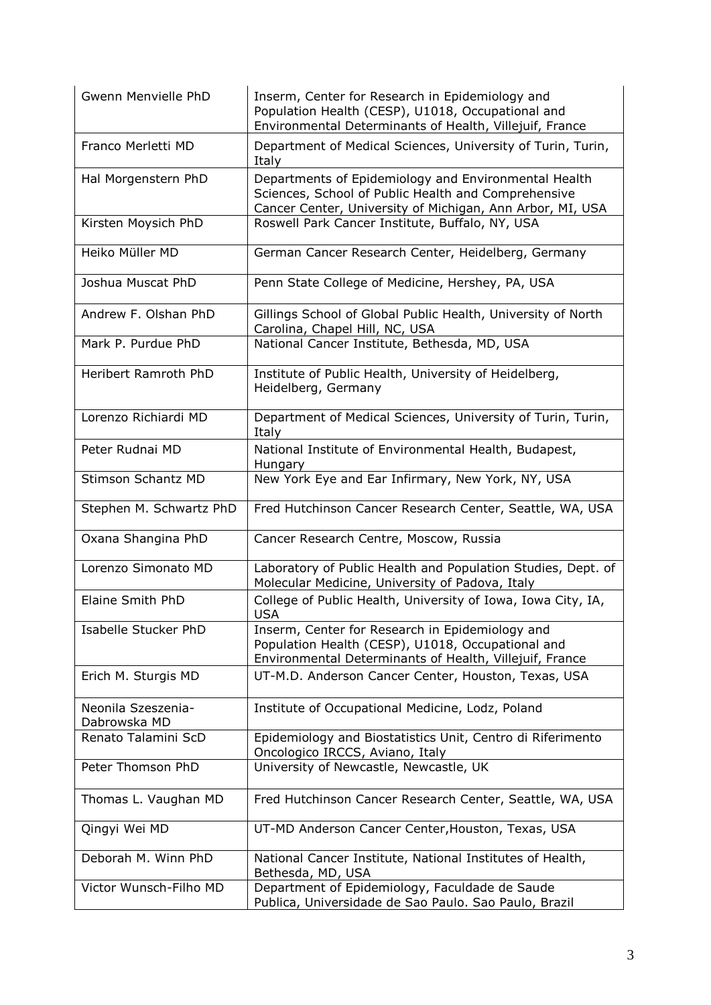| Gwenn Menvielle PhD                | Inserm, Center for Research in Epidemiology and<br>Population Health (CESP), U1018, Occupational and<br>Environmental Determinants of Health, Villejuif, France          |
|------------------------------------|--------------------------------------------------------------------------------------------------------------------------------------------------------------------------|
| Franco Merletti MD                 | Department of Medical Sciences, University of Turin, Turin,<br>Italy                                                                                                     |
| Hal Morgenstern PhD                | Departments of Epidemiology and Environmental Health<br>Sciences, School of Public Health and Comprehensive<br>Cancer Center, University of Michigan, Ann Arbor, MI, USA |
| Kirsten Moysich PhD                | Roswell Park Cancer Institute, Buffalo, NY, USA                                                                                                                          |
| Heiko Müller MD                    | German Cancer Research Center, Heidelberg, Germany                                                                                                                       |
| Joshua Muscat PhD                  | Penn State College of Medicine, Hershey, PA, USA                                                                                                                         |
| Andrew F. Olshan PhD               | Gillings School of Global Public Health, University of North<br>Carolina, Chapel Hill, NC, USA                                                                           |
| Mark P. Purdue PhD                 | National Cancer Institute, Bethesda, MD, USA                                                                                                                             |
| Heribert Ramroth PhD               | Institute of Public Health, University of Heidelberg,<br>Heidelberg, Germany                                                                                             |
| Lorenzo Richiardi MD               | Department of Medical Sciences, University of Turin, Turin,<br>Italy                                                                                                     |
| Peter Rudnai MD                    | National Institute of Environmental Health, Budapest,<br>Hungary                                                                                                         |
| Stimson Schantz MD                 | New York Eye and Ear Infirmary, New York, NY, USA                                                                                                                        |
| Stephen M. Schwartz PhD            | Fred Hutchinson Cancer Research Center, Seattle, WA, USA                                                                                                                 |
| Oxana Shangina PhD                 | Cancer Research Centre, Moscow, Russia                                                                                                                                   |
| Lorenzo Simonato MD                | Laboratory of Public Health and Population Studies, Dept. of<br>Molecular Medicine, University of Padova, Italy                                                          |
| Elaine Smith PhD                   | College of Public Health, University of Iowa, Iowa City, IA,<br><b>USA</b>                                                                                               |
| Isabelle Stucker PhD               | Inserm, Center for Research in Epidemiology and<br>Population Health (CESP), U1018, Occupational and<br>Environmental Determinants of Health, Villejuif, France          |
| Erich M. Sturgis MD                | UT-M.D. Anderson Cancer Center, Houston, Texas, USA                                                                                                                      |
| Neonila Szeszenia-<br>Dabrowska MD | Institute of Occupational Medicine, Lodz, Poland                                                                                                                         |
| Renato Talamini ScD                | Epidemiology and Biostatistics Unit, Centro di Riferimento<br>Oncologico IRCCS, Aviano, Italy                                                                            |
| Peter Thomson PhD                  | University of Newcastle, Newcastle, UK                                                                                                                                   |
| Thomas L. Vaughan MD               | Fred Hutchinson Cancer Research Center, Seattle, WA, USA                                                                                                                 |
| Qingyi Wei MD                      | UT-MD Anderson Cancer Center, Houston, Texas, USA                                                                                                                        |
| Deborah M. Winn PhD                | National Cancer Institute, National Institutes of Health,<br>Bethesda, MD, USA                                                                                           |
| Victor Wunsch-Filho MD             | Department of Epidemiology, Faculdade de Saude<br>Publica, Universidade de Sao Paulo. Sao Paulo, Brazil                                                                  |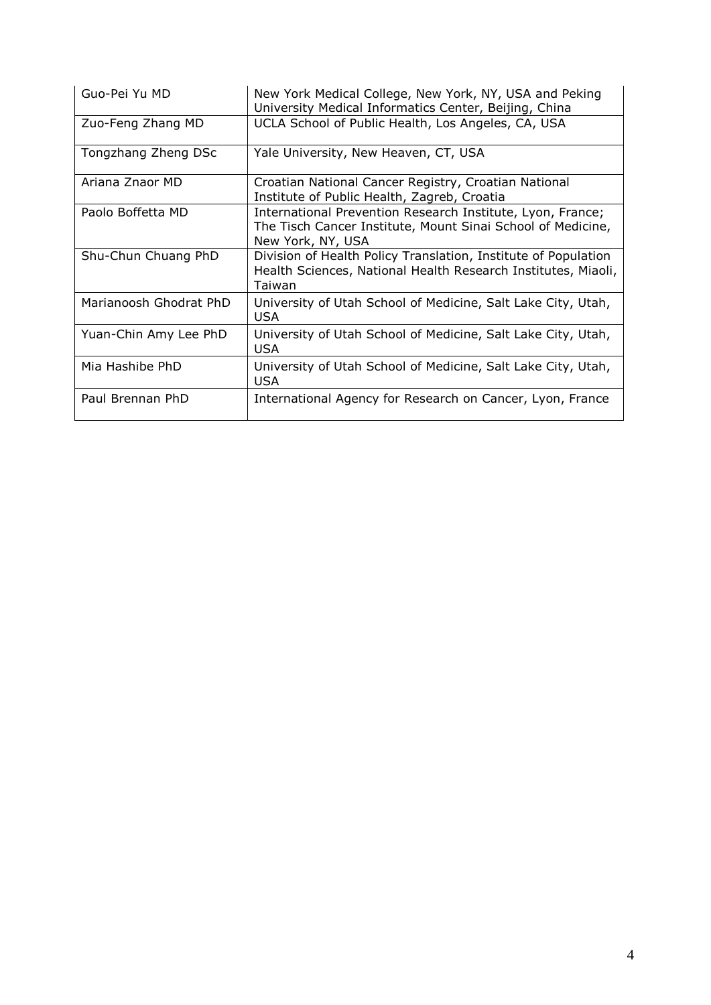| Guo-Pei Yu MD          | New York Medical College, New York, NY, USA and Peking<br>University Medical Informatics Center, Beijing, China                                |
|------------------------|------------------------------------------------------------------------------------------------------------------------------------------------|
| Zuo-Feng Zhang MD      | UCLA School of Public Health, Los Angeles, CA, USA                                                                                             |
| Tongzhang Zheng DSc    | Yale University, New Heaven, CT, USA                                                                                                           |
| Ariana Znaor MD        | Croatian National Cancer Registry, Croatian National<br>Institute of Public Health, Zagreb, Croatia                                            |
| Paolo Boffetta MD      | International Prevention Research Institute, Lyon, France;<br>The Tisch Cancer Institute, Mount Sinai School of Medicine,<br>New York, NY, USA |
| Shu-Chun Chuang PhD    | Division of Health Policy Translation, Institute of Population<br>Health Sciences, National Health Research Institutes, Miaoli,<br>Taiwan      |
| Marianoosh Ghodrat PhD | University of Utah School of Medicine, Salt Lake City, Utah,<br><b>USA</b>                                                                     |
| Yuan-Chin Amy Lee PhD  | University of Utah School of Medicine, Salt Lake City, Utah,<br><b>USA</b>                                                                     |
| Mia Hashibe PhD        | University of Utah School of Medicine, Salt Lake City, Utah,<br><b>USA</b>                                                                     |
| Paul Brennan PhD       | International Agency for Research on Cancer, Lyon, France                                                                                      |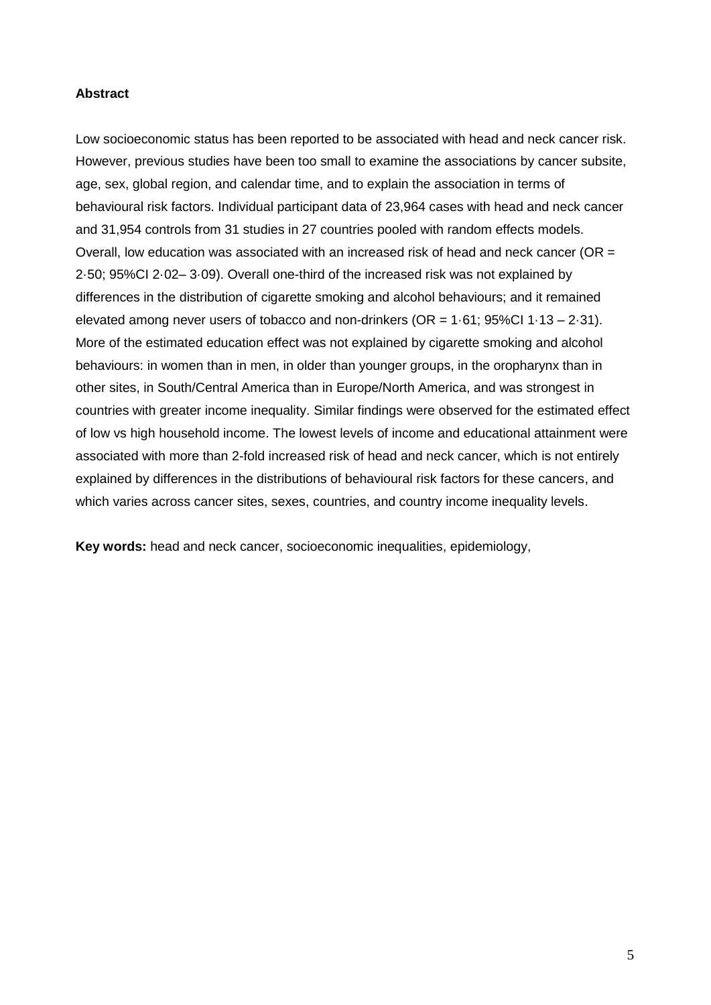#### **Abstract**

Low socioeconomic status has been reported to be associated with head and neck cancer risk. However, previous studies have been too small to examine the associations by cancer subsite, age, sex, global region, and calendar time, and to explain the association in terms of behavioural risk factors. Individual participant data of 23,964 cases with head and neck cancer and 31,954 controls from 31 studies in 27 countries pooled with random effects models. Overall, low education was associated with an increased risk of head and neck cancer (OR = 2·50; 95%CI 2·02– 3·09). Overall one-third of the increased risk was not explained by differences in the distribution of cigarette smoking and alcohol behaviours; and it remained elevated among never users of tobacco and non-drinkers ( $OR = 1.61$ ;  $95\%CI 1.13 - 2.31$ ). More of the estimated education effect was not explained by cigarette smoking and alcohol behaviours: in women than in men, in older than younger groups, in the oropharynx than in other sites, in South/Central America than in Europe/North America, and was strongest in countries with greater income inequality. Similar findings were observed for the estimated effect of low vs high household income. The lowest levels of income and educational attainment were associated with more than 2-fold increased risk of head and neck cancer, which is not entirely explained by differences in the distributions of behavioural risk factors for these cancers, and which varies across cancer sites, sexes, countries, and country income inequality levels.

**Key words:** head and neck cancer, socioeconomic inequalities, epidemiology,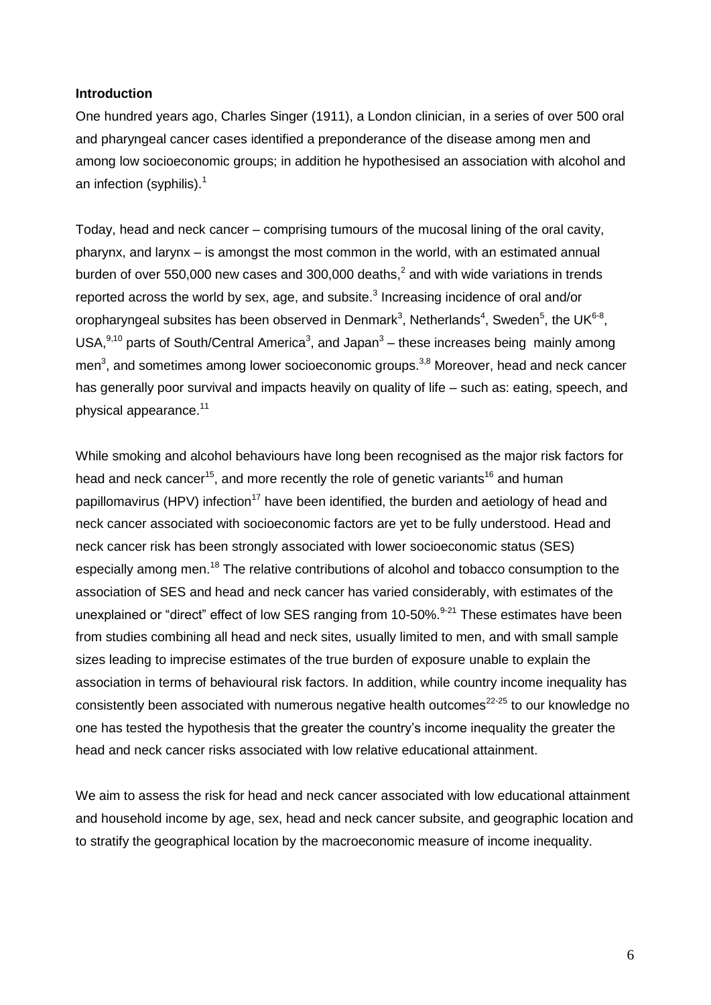#### **Introduction**

One hundred years ago, Charles Singer (1911), a London clinician, in a series of over 500 oral and pharyngeal cancer cases identified a preponderance of the disease among men and among low socioeconomic groups; in addition he hypothesised an association with alcohol and an infection (syphilis).<sup>1</sup>

Today, head and neck cancer – comprising tumours of the mucosal lining of the oral cavity, pharynx, and larynx – is amongst the most common in the world, with an estimated annual burden of over 550,000 new cases and 300,000 deaths, 2 and with wide variations in trends reported across the world by sex, age, and subsite. $3$  Increasing incidence of oral and/or oropharyngeal subsites has been observed in Denmark<sup>3</sup>, Netherlands<sup>4</sup>, Sweden<sup>5</sup>, the UK<sup>6-8</sup>, USA, $^{9,10}$  parts of South/Central America<sup>3</sup>, and Japan<sup>3</sup> – these increases being mainly among men<sup>3</sup>, and sometimes among lower socioeconomic groups.<sup>3,8</sup> Moreover, head and neck cancer has generally poor survival and impacts heavily on quality of life – such as: eating, speech, and physical appearance. 11

While smoking and alcohol behaviours have long been recognised as the major risk factors for head and neck cancer<sup>15</sup>, and more recently the role of genetic variants<sup>16</sup> and human papillomavirus (HPV) infection<sup>17</sup> have been identified, the burden and aetiology of head and neck cancer associated with socioeconomic factors are yet to be fully understood. Head and neck cancer risk has been strongly associated with lower socioeconomic status (SES) especially among men.<sup>18</sup> The relative contributions of alcohol and tobacco consumption to the association of SES and head and neck cancer has varied considerably, with estimates of the unexplained or "direct" effect of low SES ranging from 10-50%.<sup>9-21</sup> These estimates have been from studies combining all head and neck sites, usually limited to men, and with small sample sizes leading to imprecise estimates of the true burden of exposure unable to explain the association in terms of behavioural risk factors. In addition, while country income inequality has consistently been associated with numerous negative health outcomes $22-25$  to our knowledge no one has tested the hypothesis that the greater the country's income inequality the greater the head and neck cancer risks associated with low relative educational attainment.

We aim to assess the risk for head and neck cancer associated with low educational attainment and household income by age, sex, head and neck cancer subsite, and geographic location and to stratify the geographical location by the macroeconomic measure of income inequality.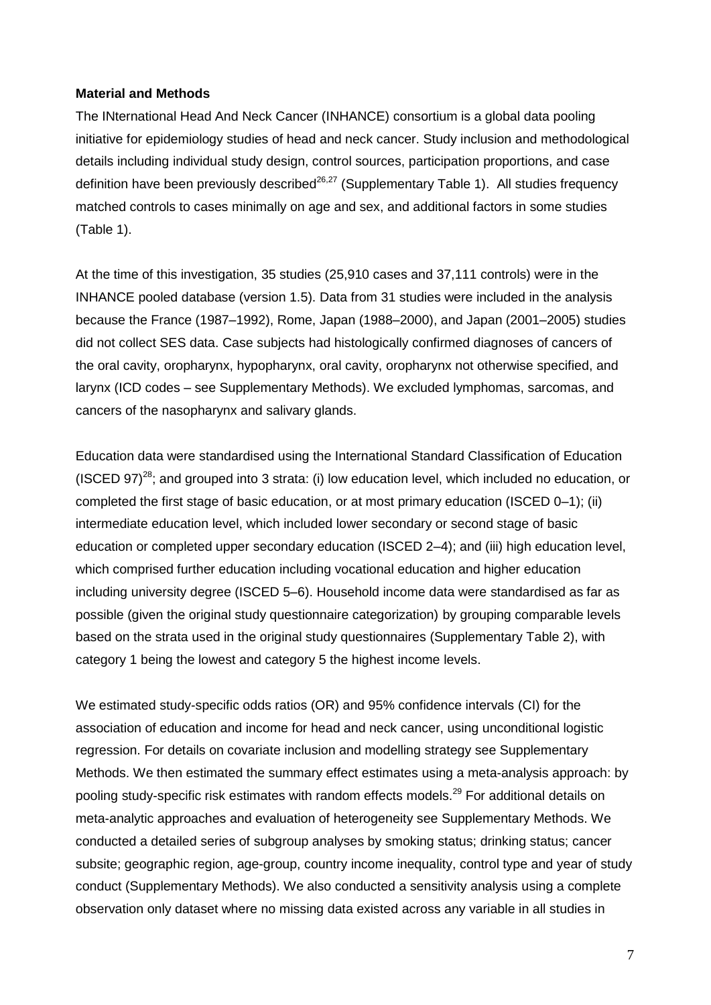#### **Material and Methods**

The INternational Head And Neck Cancer (INHANCE) consortium is a global data pooling initiative for epidemiology studies of head and neck cancer. Study inclusion and methodological details including individual study design, control sources, participation proportions, and case definition have been previously described<sup>26,27</sup> (Supplementary Table 1). All studies frequency matched controls to cases minimally on age and sex, and additional factors in some studies (Table 1).

At the time of this investigation, 35 studies (25,910 cases and 37,111 controls) were in the INHANCE pooled database (version 1.5). Data from 31 studies were included in the analysis because the France (1987–1992), Rome, Japan (1988–2000), and Japan (2001–2005) studies did not collect SES data. Case subjects had histologically confirmed diagnoses of cancers of the oral cavity, oropharynx, hypopharynx, oral cavity, oropharynx not otherwise specified, and larynx (ICD codes – see Supplementary Methods). We excluded lymphomas, sarcomas, and cancers of the nasopharynx and salivary glands.

Education data were standardised using the International Standard Classification of Education (ISCED 97)<sup>28</sup>; and grouped into 3 strata: (i) low education level, which included no education, or completed the first stage of basic education, or at most primary education (ISCED 0–1); (ii) intermediate education level, which included lower secondary or second stage of basic education or completed upper secondary education (ISCED 2–4); and (iii) high education level, which comprised further education including vocational education and higher education including university degree (ISCED 5–6). Household income data were standardised as far as possible (given the original study questionnaire categorization) by grouping comparable levels based on the strata used in the original study questionnaires (Supplementary Table 2), with category 1 being the lowest and category 5 the highest income levels.

We estimated study-specific odds ratios (OR) and 95% confidence intervals (CI) for the association of education and income for head and neck cancer, using unconditional logistic regression. For details on covariate inclusion and modelling strategy see Supplementary Methods. We then estimated the summary effect estimates using a meta-analysis approach: by pooling study-specific risk estimates with random effects models.<sup>29</sup> For additional details on meta-analytic approaches and evaluation of heterogeneity see Supplementary Methods. We conducted a detailed series of subgroup analyses by smoking status; drinking status; cancer subsite; geographic region, age-group, country income inequality, control type and year of study conduct (Supplementary Methods). We also conducted a sensitivity analysis using a complete observation only dataset where no missing data existed across any variable in all studies in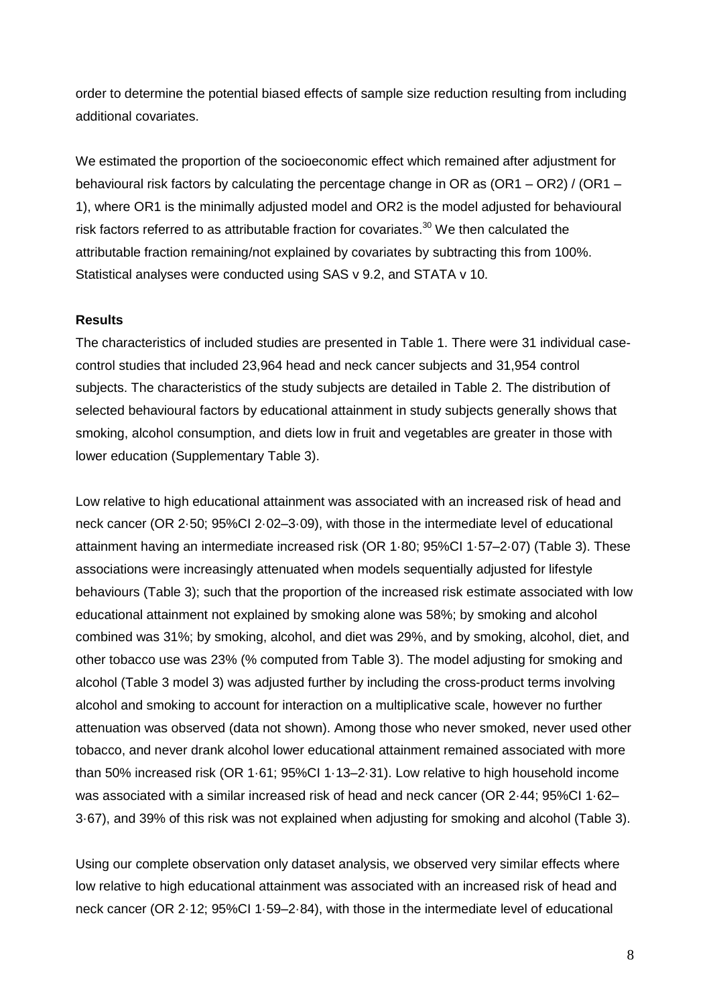order to determine the potential biased effects of sample size reduction resulting from including additional covariates.

We estimated the proportion of the socioeconomic effect which remained after adjustment for behavioural risk factors by calculating the percentage change in OR as (OR1 – OR2) / (OR1 – 1), where OR1 is the minimally adjusted model and OR2 is the model adjusted for behavioural risk factors referred to as attributable fraction for covariates.<sup>30</sup> We then calculated the attributable fraction remaining/not explained by covariates by subtracting this from 100%. Statistical analyses were conducted using SAS v 9.2, and STATA v 10.

## **Results**

The characteristics of included studies are presented in Table 1. There were 31 individual casecontrol studies that included 23,964 head and neck cancer subjects and 31,954 control subjects. The characteristics of the study subjects are detailed in Table 2. The distribution of selected behavioural factors by educational attainment in study subjects generally shows that smoking, alcohol consumption, and diets low in fruit and vegetables are greater in those with lower education (Supplementary Table 3).

Low relative to high educational attainment was associated with an increased risk of head and neck cancer (OR 2·50; 95%CI 2·02–3·09), with those in the intermediate level of educational attainment having an intermediate increased risk (OR 1·80; 95%CI 1·57–2·07) (Table 3). These associations were increasingly attenuated when models sequentially adjusted for lifestyle behaviours (Table 3); such that the proportion of the increased risk estimate associated with low educational attainment not explained by smoking alone was 58%; by smoking and alcohol combined was 31%; by smoking, alcohol, and diet was 29%, and by smoking, alcohol, diet, and other tobacco use was 23% (% computed from Table 3). The model adjusting for smoking and alcohol (Table 3 model 3) was adjusted further by including the cross-product terms involving alcohol and smoking to account for interaction on a multiplicative scale, however no further attenuation was observed (data not shown). Among those who never smoked, never used other tobacco, and never drank alcohol lower educational attainment remained associated with more than 50% increased risk (OR 1·61; 95%CI 1·13–2·31). Low relative to high household income was associated with a similar increased risk of head and neck cancer (OR 2·44; 95%CI 1·62– 3·67), and 39% of this risk was not explained when adjusting for smoking and alcohol (Table 3).

Using our complete observation only dataset analysis, we observed very similar effects where low relative to high educational attainment was associated with an increased risk of head and neck cancer (OR 2·12; 95%CI 1·59–2·84), with those in the intermediate level of educational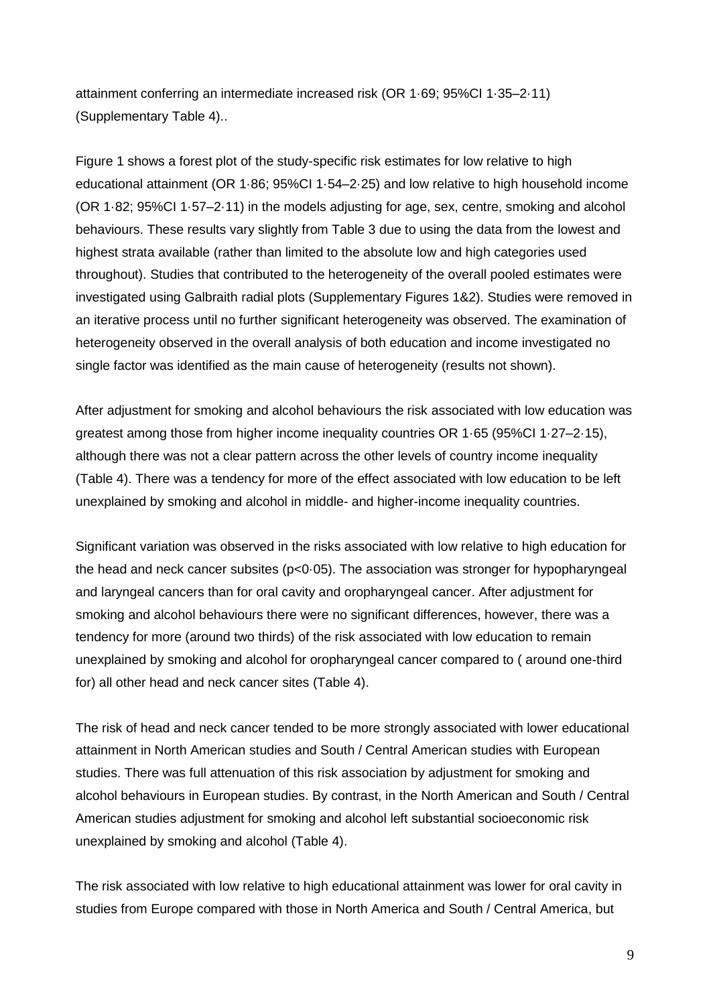attainment conferring an intermediate increased risk (OR 1·69; 95%CI 1·35–2·11) (Supplementary Table 4)..

Figure 1 shows a forest plot of the study-specific risk estimates for low relative to high educational attainment (OR 1·86; 95%CI 1·54–2·25) and low relative to high household income (OR 1·82; 95%CI 1·57–2·11) in the models adjusting for age, sex, centre, smoking and alcohol behaviours. These results vary slightly from Table 3 due to using the data from the lowest and highest strata available (rather than limited to the absolute low and high categories used throughout). Studies that contributed to the heterogeneity of the overall pooled estimates were investigated using Galbraith radial plots (Supplementary Figures 1&2). Studies were removed in an iterative process until no further significant heterogeneity was observed. The examination of heterogeneity observed in the overall analysis of both education and income investigated no single factor was identified as the main cause of heterogeneity (results not shown).

After adjustment for smoking and alcohol behaviours the risk associated with low education was greatest among those from higher income inequality countries OR 1·65 (95%CI 1·27–2·15), although there was not a clear pattern across the other levels of country income inequality (Table 4). There was a tendency for more of the effect associated with low education to be left unexplained by smoking and alcohol in middle- and higher-income inequality countries.

Significant variation was observed in the risks associated with low relative to high education for the head and neck cancer subsites (p<0·05). The association was stronger for hypopharyngeal and laryngeal cancers than for oral cavity and oropharyngeal cancer. After adjustment for smoking and alcohol behaviours there were no significant differences, however, there was a tendency for more (around two thirds) of the risk associated with low education to remain unexplained by smoking and alcohol for oropharyngeal cancer compared to ( around one-third for) all other head and neck cancer sites (Table 4).

The risk of head and neck cancer tended to be more strongly associated with lower educational attainment in North American studies and South / Central American studies with European studies. There was full attenuation of this risk association by adjustment for smoking and alcohol behaviours in European studies. By contrast, in the North American and South / Central American studies adjustment for smoking and alcohol left substantial socioeconomic risk unexplained by smoking and alcohol (Table 4).

The risk associated with low relative to high educational attainment was lower for oral cavity in studies from Europe compared with those in North America and South / Central America, but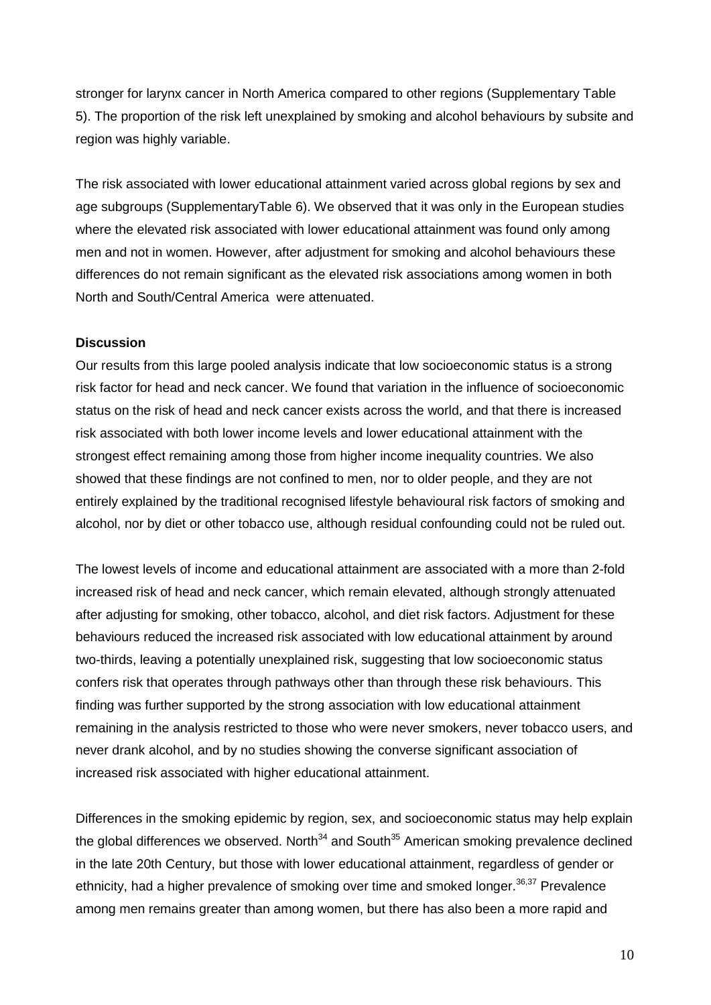stronger for larynx cancer in North America compared to other regions (Supplementary Table 5). The proportion of the risk left unexplained by smoking and alcohol behaviours by subsite and region was highly variable.

The risk associated with lower educational attainment varied across global regions by sex and age subgroups (SupplementaryTable 6). We observed that it was only in the European studies where the elevated risk associated with lower educational attainment was found only among men and not in women. However, after adjustment for smoking and alcohol behaviours these differences do not remain significant as the elevated risk associations among women in both North and South/Central America were attenuated.

#### **Discussion**

Our results from this large pooled analysis indicate that low socioeconomic status is a strong risk factor for head and neck cancer. We found that variation in the influence of socioeconomic status on the risk of head and neck cancer exists across the world, and that there is increased risk associated with both lower income levels and lower educational attainment with the strongest effect remaining among those from higher income inequality countries. We also showed that these findings are not confined to men, nor to older people, and they are not entirely explained by the traditional recognised lifestyle behavioural risk factors of smoking and alcohol, nor by diet or other tobacco use, although residual confounding could not be ruled out.

The lowest levels of income and educational attainment are associated with a more than 2-fold increased risk of head and neck cancer, which remain elevated, although strongly attenuated after adjusting for smoking, other tobacco, alcohol, and diet risk factors. Adjustment for these behaviours reduced the increased risk associated with low educational attainment by around two-thirds, leaving a potentially unexplained risk, suggesting that low socioeconomic status confers risk that operates through pathways other than through these risk behaviours. This finding was further supported by the strong association with low educational attainment remaining in the analysis restricted to those who were never smokers, never tobacco users, and never drank alcohol, and by no studies showing the converse significant association of increased risk associated with higher educational attainment.

Differences in the smoking epidemic by region, sex, and socioeconomic status may help explain the global differences we observed. North<sup>34</sup> and South<sup>35</sup> American smoking prevalence declined in the late 20th Century, but those with lower educational attainment, regardless of gender or ethnicity, had a higher prevalence of smoking over time and smoked longer.<sup>36,37</sup> Prevalence among men remains greater than among women, but there has also been a more rapid and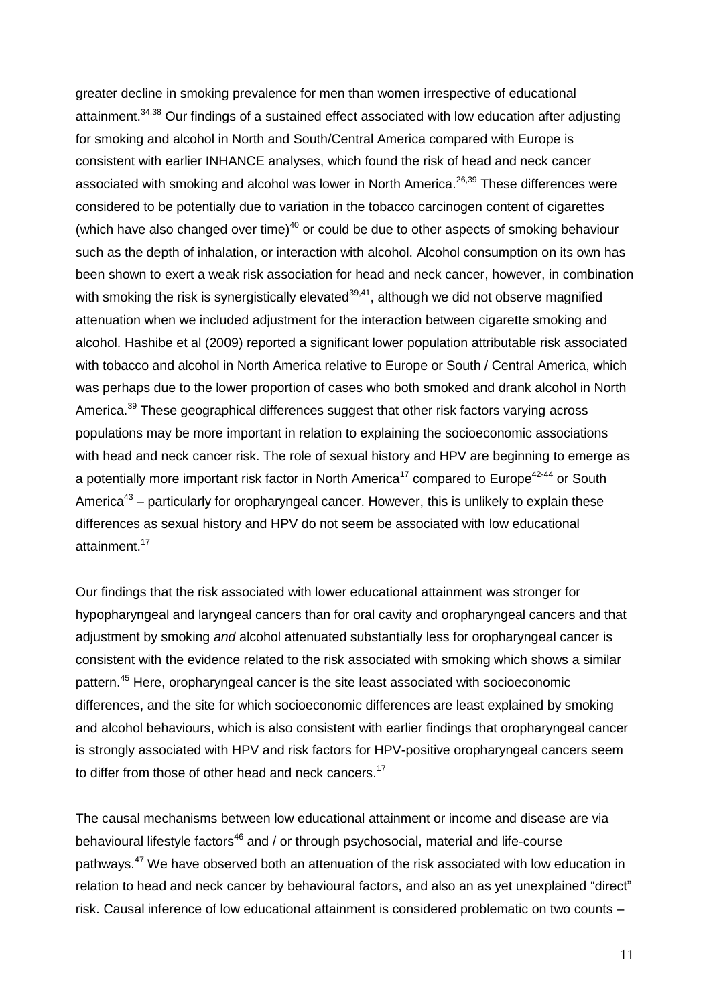greater decline in smoking prevalence for men than women irrespective of educational attainment.<sup>34,38</sup> Our findings of a sustained effect associated with low education after adjusting for smoking and alcohol in North and South/Central America compared with Europe is consistent with earlier INHANCE analyses, which found the risk of head and neck cancer associated with smoking and alcohol was lower in North America.<sup>26,39</sup> These differences were considered to be potentially due to variation in the tobacco carcinogen content of cigarettes (which have also changed over time)<sup>40</sup> or could be due to other aspects of smoking behaviour such as the depth of inhalation, or interaction with alcohol. Alcohol consumption on its own has been shown to exert a weak risk association for head and neck cancer, however, in combination with smoking the risk is synergistically elevated $39,41$ , although we did not observe magnified attenuation when we included adjustment for the interaction between cigarette smoking and alcohol. Hashibe et al (2009) reported a significant lower population attributable risk associated with tobacco and alcohol in North America relative to Europe or South / Central America, which was perhaps due to the lower proportion of cases who both smoked and drank alcohol in North America.<sup>39</sup> These geographical differences suggest that other risk factors varying across populations may be more important in relation to explaining the socioeconomic associations with head and neck cancer risk. The role of sexual history and HPV are beginning to emerge as a potentially more important risk factor in North America<sup>17</sup> compared to Europe<sup>42-44</sup> or South America<sup>43</sup> – particularly for oropharyngeal cancer. However, this is unlikely to explain these differences as sexual history and HPV do not seem be associated with low educational attainment.<sup>17</sup>

Our findings that the risk associated with lower educational attainment was stronger for hypopharyngeal and laryngeal cancers than for oral cavity and oropharyngeal cancers and that adjustment by smoking *and* alcohol attenuated substantially less for oropharyngeal cancer is consistent with the evidence related to the risk associated with smoking which shows a similar pattern.<sup>45</sup> Here, oropharyngeal cancer is the site least associated with socioeconomic differences, and the site for which socioeconomic differences are least explained by smoking and alcohol behaviours, which is also consistent with earlier findings that oropharyngeal cancer is strongly associated with HPV and risk factors for HPV-positive oropharyngeal cancers seem to differ from those of other head and neck cancers.<sup>17</sup>

The causal mechanisms between low educational attainment or income and disease are via behavioural lifestyle factors<sup>46</sup> and / or through psychosocial, material and life-course pathways.<sup>47</sup> We have observed both an attenuation of the risk associated with low education in relation to head and neck cancer by behavioural factors, and also an as yet unexplained "direct" risk. Causal inference of low educational attainment is considered problematic on two counts –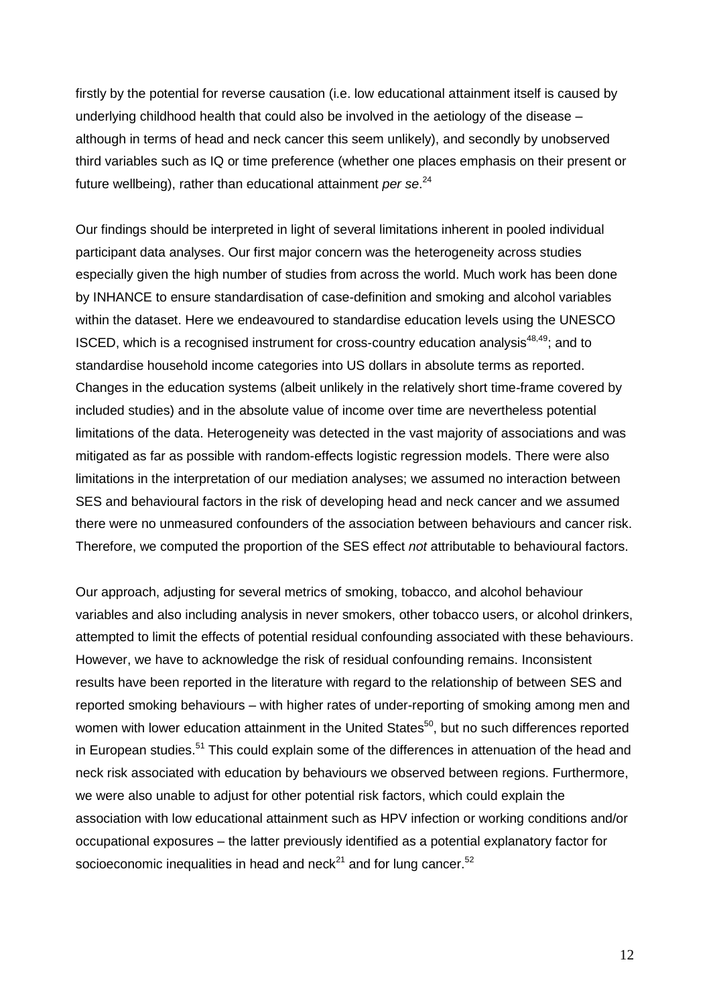firstly by the potential for reverse causation (i.e. low educational attainment itself is caused by underlying childhood health that could also be involved in the aetiology of the disease – although in terms of head and neck cancer this seem unlikely), and secondly by unobserved third variables such as IQ or time preference (whether one places emphasis on their present or future wellbeing), rather than educational attainment *per se*. 24

Our findings should be interpreted in light of several limitations inherent in pooled individual participant data analyses. Our first major concern was the heterogeneity across studies especially given the high number of studies from across the world. Much work has been done by INHANCE to ensure standardisation of case-definition and smoking and alcohol variables within the dataset. Here we endeavoured to standardise education levels using the UNESCO ISCED, which is a recognised instrument for cross-country education analysis<sup>48,49</sup>; and to standardise household income categories into US dollars in absolute terms as reported. Changes in the education systems (albeit unlikely in the relatively short time-frame covered by included studies) and in the absolute value of income over time are nevertheless potential limitations of the data. Heterogeneity was detected in the vast majority of associations and was mitigated as far as possible with random-effects logistic regression models. There were also limitations in the interpretation of our mediation analyses; we assumed no interaction between SES and behavioural factors in the risk of developing head and neck cancer and we assumed there were no unmeasured confounders of the association between behaviours and cancer risk. Therefore, we computed the proportion of the SES effect *not* attributable to behavioural factors.

Our approach, adjusting for several metrics of smoking, tobacco, and alcohol behaviour variables and also including analysis in never smokers, other tobacco users, or alcohol drinkers, attempted to limit the effects of potential residual confounding associated with these behaviours. However, we have to acknowledge the risk of residual confounding remains. Inconsistent results have been reported in the literature with regard to the relationship of between SES and reported smoking behaviours – with higher rates of under-reporting of smoking among men and women with lower education attainment in the United States<sup>50</sup>, but no such differences reported in European studies.<sup>51</sup> This could explain some of the differences in attenuation of the head and neck risk associated with education by behaviours we observed between regions. Furthermore, we were also unable to adjust for other potential risk factors, which could explain the association with low educational attainment such as HPV infection or working conditions and/or occupational exposures – the latter previously identified as a potential explanatory factor for socioeconomic inequalities in head and neck<sup>21</sup> and for lung cancer.<sup>52</sup>

12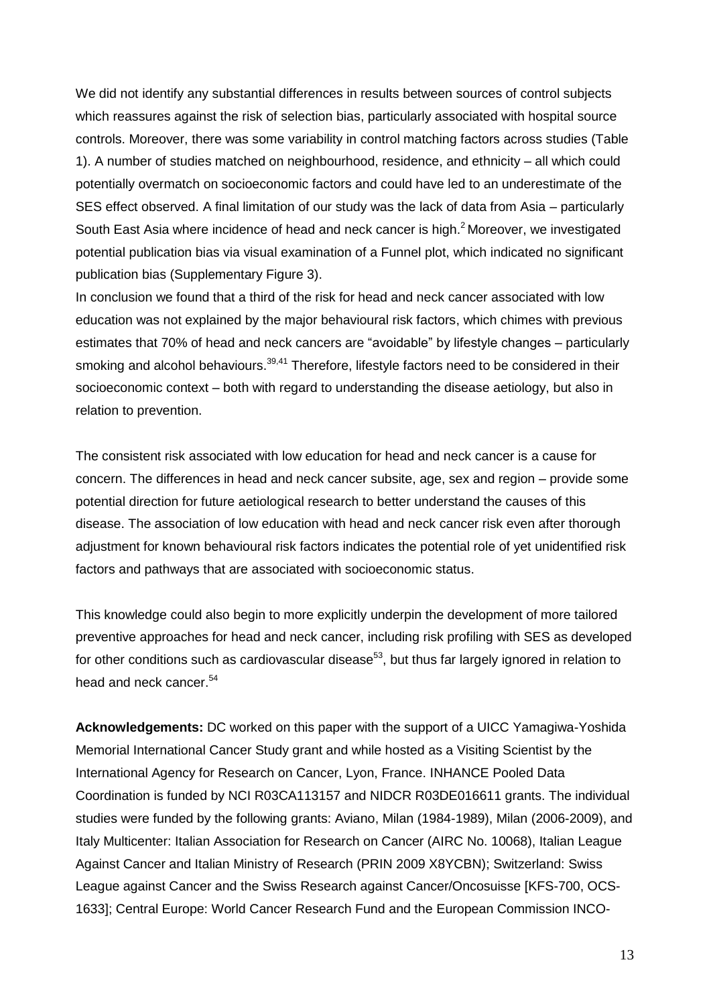We did not identify any substantial differences in results between sources of control subjects which reassures against the risk of selection bias, particularly associated with hospital source controls. Moreover, there was some variability in control matching factors across studies (Table 1). A number of studies matched on neighbourhood, residence, and ethnicity – all which could potentially overmatch on socioeconomic factors and could have led to an underestimate of the SES effect observed. A final limitation of our study was the lack of data from Asia – particularly South East Asia where incidence of head and neck cancer is high.<sup>2</sup> Moreover, we investigated potential publication bias via visual examination of a Funnel plot, which indicated no significant publication bias (Supplementary Figure 3).

In conclusion we found that a third of the risk for head and neck cancer associated with low education was not explained by the major behavioural risk factors, which chimes with previous estimates that 70% of head and neck cancers are "avoidable" by lifestyle changes – particularly smoking and alcohol behaviours.<sup>39,41</sup> Therefore, lifestyle factors need to be considered in their socioeconomic context – both with regard to understanding the disease aetiology, but also in relation to prevention.

The consistent risk associated with low education for head and neck cancer is a cause for concern. The differences in head and neck cancer subsite, age, sex and region – provide some potential direction for future aetiological research to better understand the causes of this disease. The association of low education with head and neck cancer risk even after thorough adjustment for known behavioural risk factors indicates the potential role of yet unidentified risk factors and pathways that are associated with socioeconomic status.

This knowledge could also begin to more explicitly underpin the development of more tailored preventive approaches for head and neck cancer, including risk profiling with SES as developed for other conditions such as cardiovascular disease<sup>53</sup>, but thus far largely ignored in relation to head and neck cancer.<sup>54</sup>

**Acknowledgements:** DC worked on this paper with the support of a UICC Yamagiwa-Yoshida Memorial International Cancer Study grant and while hosted as a Visiting Scientist by the International Agency for Research on Cancer, Lyon, France. INHANCE Pooled Data Coordination is funded by NCI R03CA113157 and NIDCR R03DE016611 grants. The individual studies were funded by the following grants: Aviano, Milan (1984-1989), Milan (2006-2009), and Italy Multicenter: Italian Association for Research on Cancer (AIRC No. 10068), Italian League Against Cancer and Italian Ministry of Research (PRIN 2009 X8YCBN); Switzerland: Swiss League against Cancer and the Swiss Research against Cancer/Oncosuisse [KFS-700, OCS-1633]; Central Europe: World Cancer Research Fund and the European Commission INCO-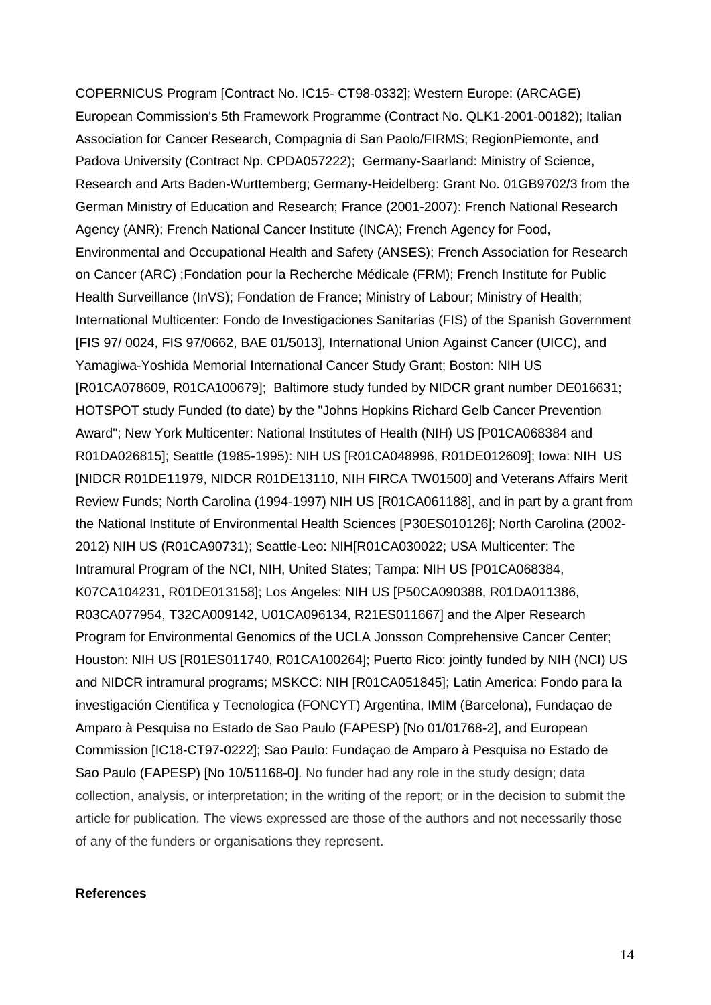COPERNICUS Program [Contract No. IC15- CT98-0332]; Western Europe: (ARCAGE) European Commission's 5th Framework Programme (Contract No. QLK1-2001-00182); Italian Association for Cancer Research, Compagnia di San Paolo/FIRMS; RegionPiemonte, and Padova University (Contract Np. CPDA057222); Germany-Saarland: Ministry of Science, Research and Arts Baden-Wurttemberg; Germany-Heidelberg: Grant No. 01GB9702/3 from the German Ministry of Education and Research; France (2001-2007): French National Research Agency (ANR); French National Cancer Institute (INCA); French Agency for Food, Environmental and Occupational Health and Safety (ANSES); French Association for Research on Cancer (ARC) ;Fondation pour la Recherche Médicale (FRM); French Institute for Public Health Surveillance (InVS); Fondation de France; Ministry of Labour; Ministry of Health; International Multicenter: Fondo de Investigaciones Sanitarias (FIS) of the Spanish Government [FIS 97/ 0024, FIS 97/0662, BAE 01/5013], International Union Against Cancer (UICC), and Yamagiwa-Yoshida Memorial International Cancer Study Grant; Boston: NIH US [R01CA078609, R01CA100679]; Baltimore study funded by NIDCR grant number DE016631; HOTSPOT study Funded (to date) by the "Johns Hopkins Richard Gelb Cancer Prevention Award"; New York Multicenter: National Institutes of Health (NIH) US [P01CA068384 and R01DA026815]; Seattle (1985-1995): NIH US [R01CA048996, R01DE012609]; Iowa: NIH US [NIDCR R01DE11979, NIDCR R01DE13110, NIH FIRCA TW01500] and Veterans Affairs Merit Review Funds; North Carolina (1994-1997) NIH US [R01CA061188], and in part by a grant from the National Institute of Environmental Health Sciences [P30ES010126]; North Carolina (2002- 2012) NIH US (R01CA90731); Seattle-Leo: NIH[R01CA030022; USA Multicenter: The Intramural Program of the NCI, NIH, United States; Tampa: NIH US [P01CA068384, K07CA104231, R01DE013158]; Los Angeles: NIH US [P50CA090388, R01DA011386, R03CA077954, T32CA009142, U01CA096134, R21ES011667] and the Alper Research Program for Environmental Genomics of the UCLA Jonsson Comprehensive Cancer Center; Houston: NIH US [R01ES011740, R01CA100264]; Puerto Rico: jointly funded by NIH (NCI) US and NIDCR intramural programs; MSKCC: NIH [R01CA051845]; Latin America: Fondo para la investigación Cientifica y Tecnologica (FONCYT) Argentina, IMIM (Barcelona), Fundaçao de Amparo à Pesquisa no Estado de Sao Paulo (FAPESP) [No 01/01768-2], and European Commission [IC18-CT97-0222]; Sao Paulo: Fundaçao de Amparo à Pesquisa no Estado de Sao Paulo (FAPESP) [No 10/51168-0]. No funder had any role in the study design; data collection, analysis, or interpretation; in the writing of the report; or in the decision to submit the article for publication. The views expressed are those of the authors and not necessarily those of any of the funders or organisations they represent.

### **References**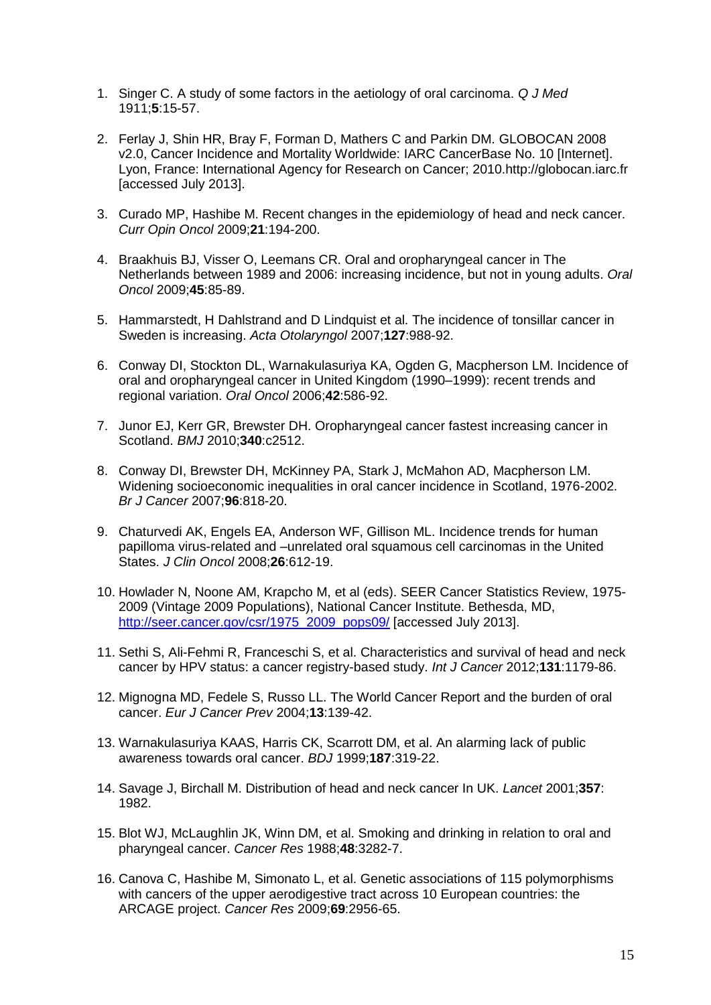- 1. Singer C. A study of some factors in the aetiology of oral carcinoma. *Q J Med* 1911;**5**:15-57.
- 2. Ferlay J, Shin HR, Bray F, Forman D, Mathers C and Parkin DM. GLOBOCAN 2008 v2.0, Cancer Incidence and Mortality Worldwide: IARC CancerBase No. 10 [Internet]. Lyon, France: International Agency for Research on Cancer; 2010.http://globocan.iarc.fr [accessed July 2013].
- 3. Curado MP, Hashibe M. Recent changes in the epidemiology of head and neck cancer. *Curr Opin Oncol* 2009;**21**:194-200.
- 4. Braakhuis BJ, Visser O, Leemans CR. Oral and oropharyngeal cancer in The Netherlands between 1989 and 2006: increasing incidence, but not in young adults. *Oral Oncol* 2009;**45**:85-89.
- 5. Hammarstedt, H Dahlstrand and D Lindquist et al. The incidence of tonsillar cancer in Sweden is increasing. *Acta Otolaryngol* 2007;**127**:988-92.
- 6. Conway DI, Stockton DL, Warnakulasuriya KA, Ogden G, Macpherson LM. Incidence of oral and oropharyngeal cancer in United Kingdom (1990–1999): recent trends and regional variation. *Oral Oncol* 2006;**42**:586-92.
- 7. Junor EJ, Kerr GR, Brewster DH. Oropharyngeal cancer fastest increasing cancer in Scotland. *BMJ* 2010;**340**:c2512.
- 8. Conway DI, Brewster DH, McKinney PA, Stark J, McMahon AD, Macpherson LM. Widening socioeconomic inequalities in oral cancer incidence in Scotland, 1976-2002. *Br J Cancer* 2007;**96**:818-20.
- 9. Chaturvedi AK, Engels EA, Anderson WF, Gillison ML. Incidence trends for human papilloma virus-related and –unrelated oral squamous cell carcinomas in the United States. *J Clin Oncol* 2008;**26**:612-19.
- 10. Howlader N, Noone AM, Krapcho M, et al (eds). SEER Cancer Statistics Review, 1975- 2009 (Vintage 2009 Populations), National Cancer Institute. Bethesda, MD, [http://seer.cancer.gov/csr/1975\\_2009\\_pops09/](http://seer.cancer.gov/csr/1975_2009_pops09/) [accessed July 2013].
- 11. Sethi S, Ali-Fehmi R, Franceschi S, et al. Characteristics and survival of head and neck cancer by HPV status: a cancer registry-based study. *Int J Cancer* 2012;**131**:1179-86.
- 12. Mignogna MD, Fedele S, Russo LL. The World Cancer Report and the burden of oral cancer. *Eur J Cancer Prev* 2004;**13**:139-42.
- 13. Warnakulasuriya KAAS, Harris CK, Scarrott DM, et al. An alarming lack of public awareness towards oral cancer. *BDJ* 1999;**187**:319-22.
- 14. Savage J, Birchall M. Distribution of head and neck cancer In UK. *Lancet* 2001;**357**: 1982.
- 15. Blot WJ, McLaughlin JK, Winn DM, et al. Smoking and drinking in relation to oral and pharyngeal cancer. *Cancer Res* 1988;**48**:3282-7.
- 16. Canova C, Hashibe M, Simonato L, et al. Genetic associations of 115 polymorphisms with cancers of the upper aerodigestive tract across 10 European countries: the ARCAGE project. *Cancer Res* 2009;**69**:2956-65.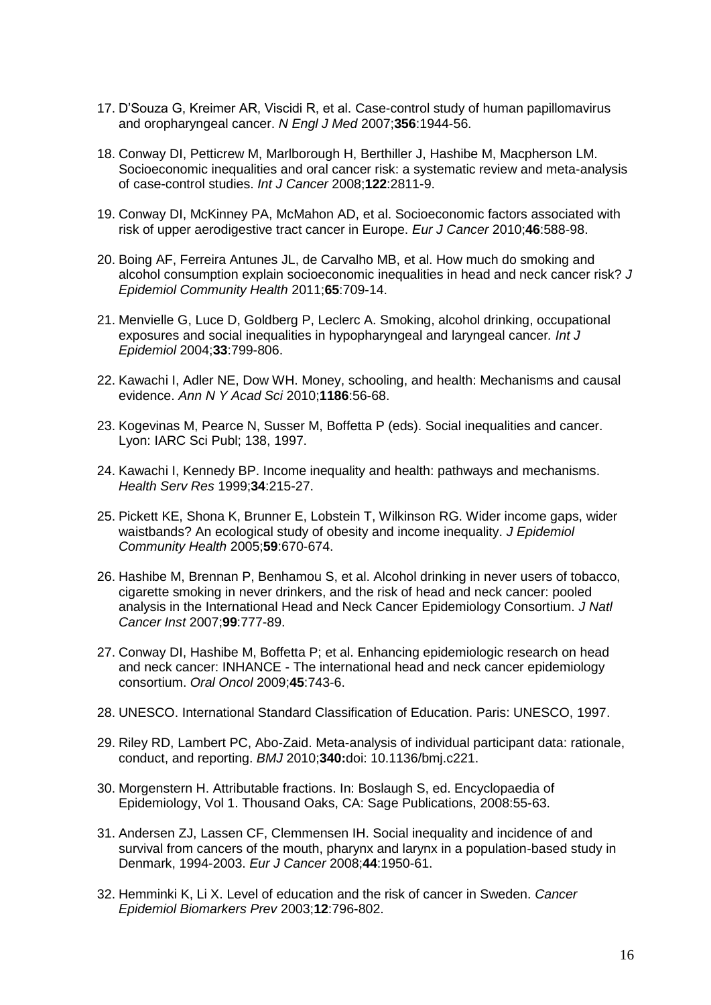- 17. D'Souza G, Kreimer AR, Viscidi R, et al. Case-control study of human papillomavirus and oropharyngeal cancer. *N Engl J Med* 2007;**356**:1944-56.
- 18. Conway DI, Petticrew M, Marlborough H, Berthiller J, Hashibe M, Macpherson LM. Socioeconomic inequalities and oral cancer risk: a systematic review and meta-analysis of case-control studies. *Int J Cancer* 2008;**122**:2811-9.
- 19. Conway DI, McKinney PA, McMahon AD, et al. Socioeconomic factors associated with risk of upper aerodigestive tract cancer in Europe. *Eur J Cancer* 2010;**46**:588-98.
- 20. Boing AF, Ferreira Antunes JL, de Carvalho MB, et al. How much do smoking and alcohol consumption explain socioeconomic inequalities in head and neck cancer risk? *J Epidemiol Community Health* 2011;**65**:709-14.
- 21. Menvielle G, Luce D, Goldberg P, Leclerc A. Smoking, alcohol drinking, occupational exposures and social inequalities in hypopharyngeal and laryngeal cancer*. Int J Epidemiol* 2004;**33**:799-806.
- 22. Kawachi I, Adler NE, Dow WH. Money, schooling, and health: Mechanisms and causal evidence. *Ann N Y Acad Sci* 2010;**1186**:56-68.
- 23. Kogevinas M, Pearce N, Susser M, Boffetta P (eds). Social inequalities and cancer. Lyon: IARC Sci Publ; 138, 1997.
- 24. Kawachi I, Kennedy BP. Income inequality and health: pathways and mechanisms. *Health Serv Res* 1999;**34**:215-27.
- 25. Pickett KE, Shona K, Brunner E, Lobstein T, Wilkinson RG. Wider income gaps, wider waistbands? An ecological study of obesity and income inequality. *J Epidemiol Community Health* 2005;**59**:670-674.
- 26. Hashibe M, Brennan P, Benhamou S, et al. Alcohol drinking in never users of tobacco, cigarette smoking in never drinkers, and the risk of head and neck cancer: pooled analysis in the International Head and Neck Cancer Epidemiology Consortium. *J Natl Cancer Inst* 2007;**99**:777-89.
- 27. Conway DI, Hashibe M, Boffetta P; et al. Enhancing epidemiologic research on head and neck cancer: INHANCE - The international head and neck cancer epidemiology consortium. *Oral Oncol* 2009;**45**:743-6.
- 28. UNESCO. International Standard Classification of Education. Paris: UNESCO, 1997.
- 29. Riley RD, Lambert PC, Abo-Zaid. Meta-analysis of individual participant data: rationale, conduct, and reporting. *BMJ* 2010;**340:**doi: 10.1136/bmj.c221.
- 30. Morgenstern H. Attributable fractions. In: Boslaugh S, ed. Encyclopaedia of Epidemiology, Vol 1. Thousand Oaks, CA: Sage Publications, 2008:55-63.
- 31. Andersen ZJ, Lassen CF, Clemmensen IH. Social inequality and incidence of and survival from cancers of the mouth, pharynx and larynx in a population-based study in Denmark, 1994-2003. *Eur J Cancer* 2008;**44**:1950-61.
- 32. Hemminki K, Li X. Level of education and the risk of cancer in Sweden. *Cancer Epidemiol Biomarkers Prev* 2003;**12**:796-802.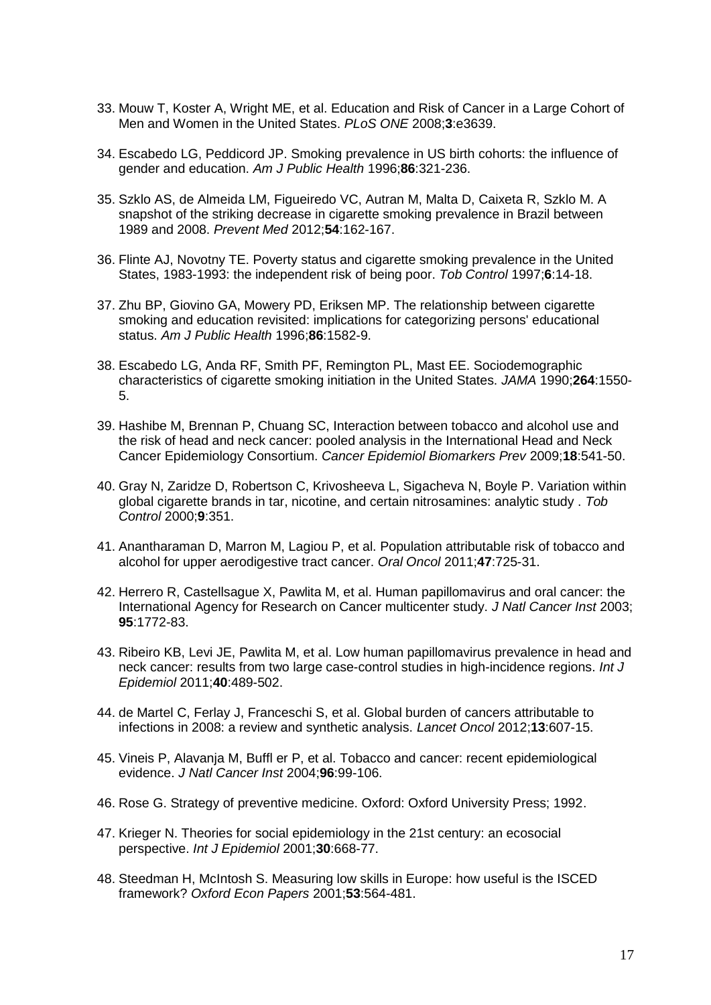- 33. Mouw T, Koster A, Wright ME, et al. Education and Risk of Cancer in a Large Cohort of Men and Women in the United States. *PLoS ONE* 2008;**3**:e3639.
- 34. Escabedo LG, Peddicord JP. Smoking prevalence in US birth cohorts: the influence of gender and education. *Am J Public Health* 1996;**86**:321-236.
- 35. Szklo AS, de Almeida LM, Figueiredo VC, Autran M, Malta D, Caixeta R, Szklo M. A snapshot of the striking decrease in cigarette smoking prevalence in Brazil between 1989 and 2008. *Prevent Med* 2012;**54**:162-167.
- 36. Flinte AJ, Novotny TE. Poverty status and cigarette smoking prevalence in the United States, 1983-1993: the independent risk of being poor. *Tob Control* 1997;**6**:14-18.
- 37. Zhu BP, Giovino GA, Mowery PD, Eriksen MP. The relationship between cigarette smoking and education revisited: implications for categorizing persons' educational status. *Am J Public Health* 1996;**86**:1582-9.
- 38. Escabedo LG, Anda RF, Smith PF, Remington PL, Mast EE. Sociodemographic characteristics of cigarette smoking initiation in the United States. *JAMA* 1990;**264**:1550- 5.
- 39. Hashibe M, Brennan P, Chuang SC, Interaction between tobacco and alcohol use and the risk of head and neck cancer: pooled analysis in the International Head and Neck Cancer Epidemiology Consortium. *Cancer Epidemiol Biomarkers Prev* 2009;**18**:541-50.
- 40. Gray N, Zaridze D, Robertson C, Krivosheeva L, Sigacheva N, Boyle P. Variation within global cigarette brands in tar, nicotine, and certain nitrosamines: analytic study . *Tob Control* 2000;**9**:351.
- 41. Anantharaman D, Marron M, Lagiou P, et al. Population attributable risk of tobacco and alcohol for upper aerodigestive tract cancer. *Oral Oncol* 2011;**47**:725-31.
- 42. Herrero R, Castellsague X, Pawlita M, et al. Human papillomavirus and oral cancer: the International Agency for Research on Cancer multicenter study. *J Natl Cancer Inst* 2003; **95**:1772-83.
- 43. Ribeiro KB, Levi JE, Pawlita M, et al. Low human papillomavirus prevalence in head and neck cancer: results from two large case-control studies in high-incidence regions. *Int J Epidemiol* 2011;**40**:489-502.
- 44. de Martel C, Ferlay J, Franceschi S, et al. Global burden of cancers attributable to infections in 2008: a review and synthetic analysis. *Lancet Oncol* 2012;**13**:607-15.
- 45. Vineis P, Alavanja M, Buffl er P, et al. Tobacco and cancer: recent epidemiological evidence. *J Natl Cancer Inst* 2004;**96**:99-106.
- 46. Rose G. Strategy of preventive medicine. Oxford: Oxford University Press; 1992.
- 47. Krieger N. Theories for social epidemiology in the 21st century: an ecosocial perspective. *Int J Epidemiol* 2001;**30**:668-77.
- 48. Steedman H, McIntosh S. Measuring low skills in Europe: how useful is the ISCED framework? *Oxford Econ Papers* 2001;**53**:564-481.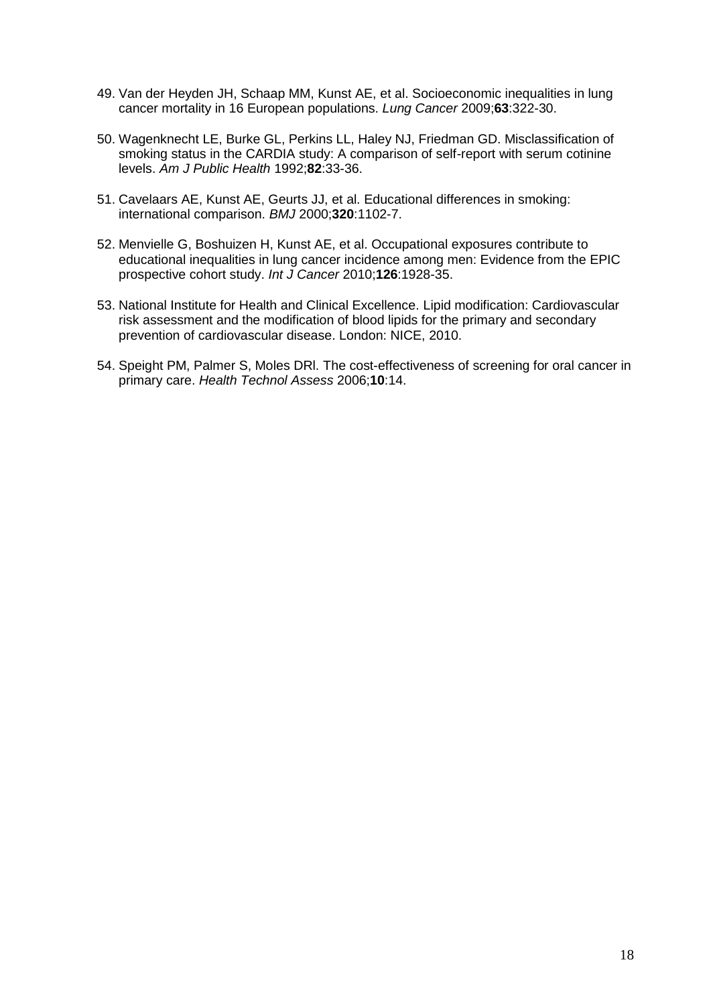- 49. Van der Heyden JH, Schaap MM, Kunst AE, et al. Socioeconomic inequalities in lung cancer mortality in 16 European populations. *Lung Cancer* 2009;**63**:322-30.
- 50. Wagenknecht LE, Burke GL, Perkins LL, Haley NJ, Friedman GD. Misclassification of smoking status in the CARDIA study: A comparison of self-report with serum cotinine levels. *Am J Public Health* 1992;**82**:33-36.
- 51. Cavelaars AE, Kunst AE, Geurts JJ, et al. Educational differences in smoking: international comparison. *BMJ* 2000;**320**:1102-7.
- 52. Menvielle G, Boshuizen H, Kunst AE, et al. Occupational exposures contribute to educational inequalities in lung cancer incidence among men: Evidence from the EPIC prospective cohort study. *Int J Cancer* 2010;**126**:1928-35.
- 53. National Institute for Health and Clinical Excellence. Lipid modification: Cardiovascular risk assessment and the modification of blood lipids for the primary and secondary prevention of cardiovascular disease. London: NICE, 2010.
- 54. Speight PM, Palmer S, Moles DRl. The cost-effectiveness of screening for oral cancer in primary care. *Health Technol Assess* 2006;**10**:14.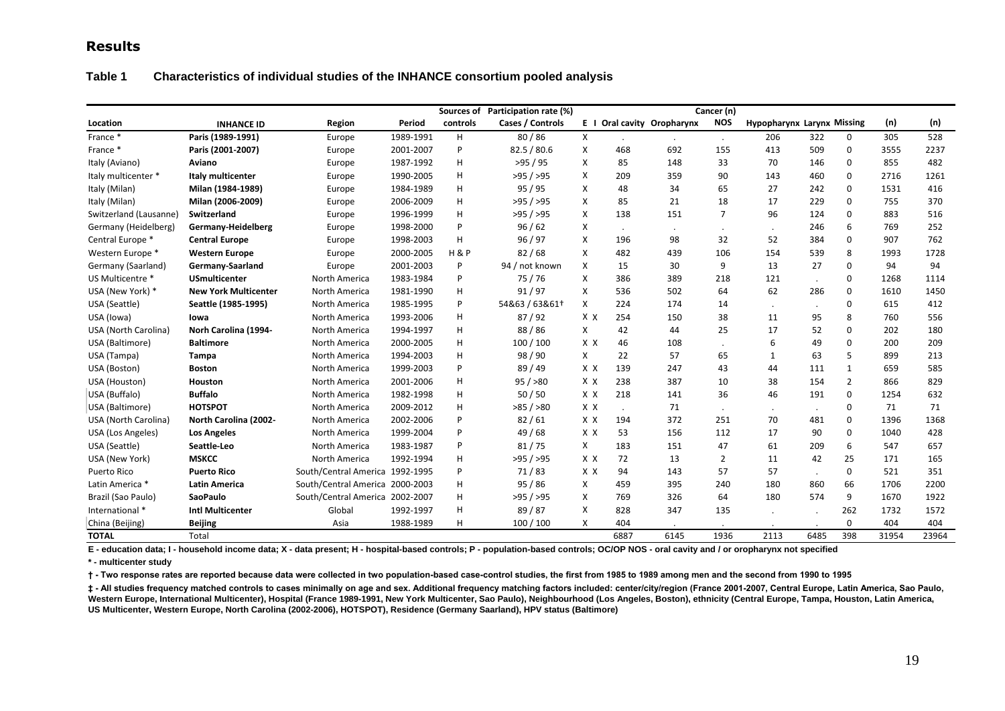## **Results**

#### **Table 1 Characteristics of individual studies of the INHANCE consortium pooled analysis**

|                        |                             |                                 |           |                | Sources of Participation rate (%) |     |         |                            | Cancer (n)     |                                   |         |                |       |       |
|------------------------|-----------------------------|---------------------------------|-----------|----------------|-----------------------------------|-----|---------|----------------------------|----------------|-----------------------------------|---------|----------------|-------|-------|
| Location               | <b>INHANCE ID</b>           | Region                          | Period    | controls       | Cases / Controls                  |     |         | E I Oral cavity Oropharynx | <b>NOS</b>     | <b>Hypopharynx Larynx Missing</b> |         |                | (n)   | (n)   |
| France *               | Paris (1989-1991)           | Europe                          | 1989-1991 | н              | 80/86                             | X   |         |                            | $\cdot$        | 206                               | 322     | 0              | 305   | 528   |
| France *               | Paris (2001-2007)           | Europe                          | 2001-2007 | P              | 82.5 / 80.6                       | X   | 468     | 692                        | 155            | 413                               | 509     | $\mathbf 0$    | 3555  | 2237  |
| Italy (Aviano)         | Aviano                      | Europe                          | 1987-1992 | H              | >95/95                            | X   | 85      | 148                        | 33             | 70                                | 146     | $\mathbf 0$    | 855   | 482   |
| Italy multicenter *    | Italy multicenter           | Europe                          | 1990-2005 | H              | >95/595                           | X   | 209     | 359                        | 90             | 143                               | 460     | $\mathbf 0$    | 2716  | 1261  |
| Italy (Milan)          | Milan (1984-1989)           | Europe                          | 1984-1989 | н              | 95/95                             | X   | 48      | 34                         | 65             | 27                                | 242     | 0              | 1531  | 416   |
| Italy (Milan)          | Milan (2006-2009)           | Europe                          | 2006-2009 | н              | >95/595                           | X   | 85      | 21                         | 18             | 17                                | 229     | 0              | 755   | 370   |
| Switzerland (Lausanne) | Switzerland                 | Europe                          | 1996-1999 | H.             | >95/595                           | X   | 138     | 151                        | $\overline{7}$ | 96                                | 124     | $\mathbf 0$    | 883   | 516   |
| Germany (Heidelberg)   | Germany-Heidelberg          | Europe                          | 1998-2000 | P              | 96/62                             | X   | $\cdot$ |                            | $\cdot$        |                                   | 246     | 6              | 769   | 252   |
| Central Europe *       | <b>Central Europe</b>       | Europe                          | 1998-2003 | н              | 96 / 97                           | x   | 196     | 98                         | 32             | 52                                | 384     | 0              | 907   | 762   |
| Western Europe *       | <b>Western Europe</b>       | Europe                          | 2000-2005 | <b>H&amp;P</b> | 82/68                             | X   | 482     | 439                        | 106            | 154                               | 539     | 8              | 1993  | 1728  |
| Germany (Saarland)     | Germany-Saarland            | Europe                          | 2001-2003 | P              | 94 / not known                    | X   | 15      | 30                         | 9              | 13                                | 27      | 0              | 94    | 94    |
| US Multicentre *       | <b>USmulticenter</b>        | North America                   | 1983-1984 | P              | 75/76                             | X   | 386     | 389                        | 218            | 121                               | $\cdot$ | 0              | 1268  | 1114  |
| USA (New York) *       | <b>New York Multicenter</b> | North America                   | 1981-1990 | н              | 91/97                             | X   | 536     | 502                        | 64             | 62                                | 286     | $\mathbf 0$    | 1610  | 1450  |
| USA (Seattle)          | Seattle (1985-1995)         | North America                   | 1985-1995 | P              | 54&63 / 63&61+                    | X   | 224     | 174                        | 14             |                                   |         | 0              | 615   | 412   |
| USA (lowa)             | lowa                        | North America                   | 1993-2006 | H.             | 87/92                             | X X | 254     | 150                        | 38             | 11                                | 95      | 8              | 760   | 556   |
| USA (North Carolina)   | Norh Carolina (1994-        | North America                   | 1994-1997 | н              | 88/86                             | X   | 42      | 44                         | 25             | 17                                | 52      | $\mathbf 0$    | 202   | 180   |
| USA (Baltimore)        | <b>Baltimore</b>            | North America                   | 2000-2005 | н              | 100 / 100                         | X X | 46      | 108                        |                | 6                                 | 49      | 0              | 200   | 209   |
| USA (Tampa)            | <b>Tampa</b>                | North America                   | 1994-2003 | н              | 98 / 90                           | X   | 22      | 57                         | 65             | 1                                 | 63      | 5              | 899   | 213   |
| USA (Boston)           | <b>Boston</b>               | North America                   | 1999-2003 | P              | 89/49                             | X X | 139     | 247                        | 43             | 44                                | 111     | 1              | 659   | 585   |
| USA (Houston)          | Houston                     | North America                   | 2001-2006 | н              | 95 / > 80                         | X X | 238     | 387                        | 10             | 38                                | 154     | $\overline{2}$ | 866   | 829   |
| USA (Buffalo)          | <b>Buffalo</b>              | North America                   | 1982-1998 | н              | 50/50                             | X X | 218     | 141                        | 36             | 46                                | 191     | 0              | 1254  | 632   |
| USA (Baltimore)        | <b>HOTSPOT</b>              | North America                   | 2009-2012 | н              | >85/>80                           | X X |         | 71                         | $\cdot$        | $\cdot$                           |         | 0              | 71    | 71    |
| USA (North Carolina)   | North Carolina (2002-       | North America                   | 2002-2006 | P              | 82/61                             | X X | 194     | 372                        | 251            | 70                                | 481     | $\mathbf{0}$   | 1396  | 1368  |
| USA (Los Angeles)      | <b>Los Angeles</b>          | North America                   | 1999-2004 | P              | 49 / 68                           | X X | 53      | 156                        | 112            | 17                                | 90      | 0              | 1040  | 428   |
| USA (Seattle)          | Seattle-Leo                 | North America                   | 1983-1987 | P              | 81/75                             | X   | 183     | 151                        | 47             | 61                                | 209     | 6              | 547   | 657   |
| USA (New York)         | <b>MSKCC</b>                | North America                   | 1992-1994 | н              | >95/595                           | X X | 72      | 13                         | $\overline{2}$ | 11                                | 42      | 25             | 171   | 165   |
| Puerto Rico            | <b>Puerto Rico</b>          | South/Central America 1992-1995 |           | P              | 71/83                             | X X | 94      | 143                        | 57             | 57                                |         | 0              | 521   | 351   |
| Latin America *        | <b>Latin America</b>        | South/Central America 2000-2003 |           | н              | 95/86                             | X   | 459     | 395                        | 240            | 180                               | 860     | 66             | 1706  | 2200  |
| Brazil (Sao Paulo)     | <b>SaoPaulo</b>             | South/Central America 2002-2007 |           | н              | >95/595                           | X   | 769     | 326                        | 64             | 180                               | 574     | 9              | 1670  | 1922  |
| International *        | <b>Intl Multicenter</b>     | Global                          | 1992-1997 | н              | 89/87                             | X   | 828     | 347                        | 135            |                                   |         | 262            | 1732  | 1572  |
| China (Beijing)        | <b>Beijing</b>              | Asia                            | 1988-1989 | H              | 100 / 100                         | X   | 404     |                            |                |                                   |         | $\mathbf 0$    | 404   | 404   |
| <b>TOTAL</b>           | Total                       |                                 |           |                |                                   |     | 6887    | 6145                       | 1936           | 2113                              | 6485    | 398            | 31954 | 23964 |

**E - education data; I - household income data; X - data present; H - hospital-based controls; P - population-based controls; OC/OP NOS - oral cavity and / or oropharynx not specified**

**\* - multicenter study**

**† - Two response rates are reported because data were collected in two population-based case-control studies, the first from 1985 to 1989 among men and the second from 1990 to 1995** 

**‡ - All studies frequency matched controls to cases minimally on age and sex. Additional frequency matching factors included: center/city/region (France 2001-2007, Central Europe, Latin America, Sao Paulo,**  Western Europe, International Multicenter), Hospital (France 1989-1991, New York Multicenter, Sao Paulo), Neighbourhood (Los Angeles, Boston), ethnicity (Central Europe, Tampa, Houston, Latin America, **US Multicenter, Western Europe, North Carolina (2002-2006), HOTSPOT), Residence (Germany Saarland), HPV status (Baltimore)**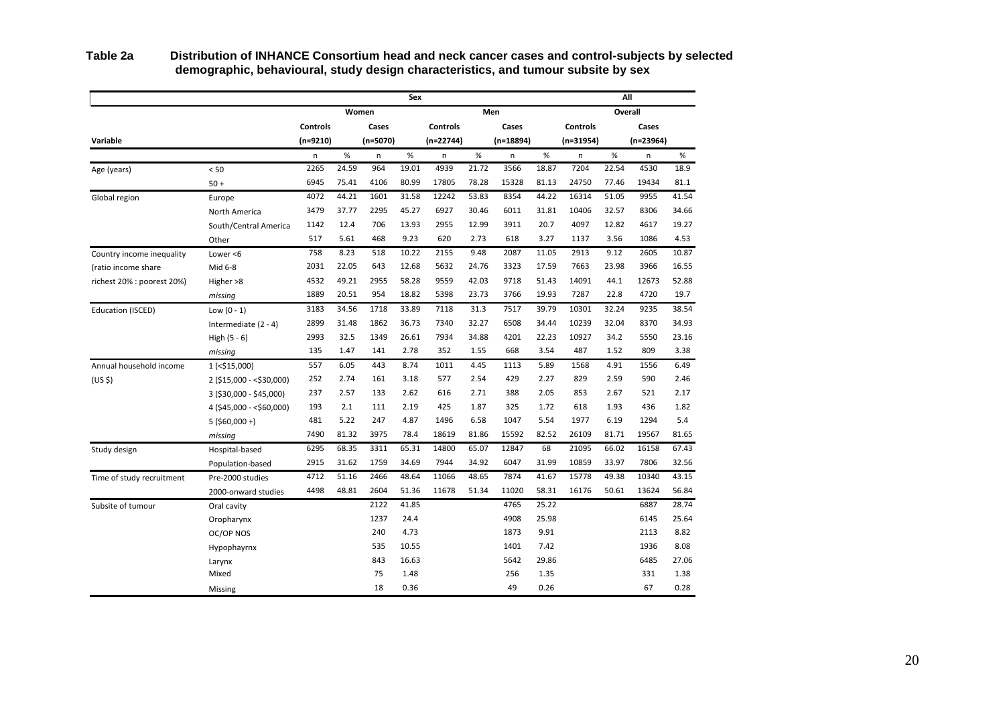|                            |                            |                 |       |            | Sex   |                 |       |             |       |                 | All     |           |       |
|----------------------------|----------------------------|-----------------|-------|------------|-------|-----------------|-------|-------------|-------|-----------------|---------|-----------|-------|
|                            |                            |                 |       | Women      |       |                 |       | Men         |       |                 | Overall |           |       |
|                            |                            | <b>Controls</b> |       | Cases      |       | <b>Controls</b> |       | Cases       |       | <b>Controls</b> |         | Cases     |       |
| Variable                   |                            | $(n=9210)$      |       | $(n=5070)$ |       | $(n=22744)$     |       | $(n=18894)$ |       | (n=31954)       |         | (n=23964) |       |
|                            |                            | n               | %     | n          | %     | n               | $\%$  | n           | $\%$  | $\sf n$         | $\%$    | n         | %     |
| Age (years)                | < 50                       | 2265            | 24.59 | 964        | 19.01 | 4939            | 21.72 | 3566        | 18.87 | 7204            | 22.54   | 4530      | 18.9  |
|                            | $50 +$                     | 6945            | 75.41 | 4106       | 80.99 | 17805           | 78.28 | 15328       | 81.13 | 24750           | 77.46   | 19434     | 81.1  |
| Global region              | Europe                     | 4072            | 44.21 | 1601       | 31.58 | 12242           | 53.83 | 8354        | 44.22 | 16314           | 51.05   | 9955      | 41.54 |
|                            | North America              | 3479            | 37.77 | 2295       | 45.27 | 6927            | 30.46 | 6011        | 31.81 | 10406           | 32.57   | 8306      | 34.66 |
|                            | South/Central America      | 1142            | 12.4  | 706        | 13.93 | 2955            | 12.99 | 3911        | 20.7  | 4097            | 12.82   | 4617      | 19.27 |
|                            | Other                      | 517             | 5.61  | 468        | 9.23  | 620             | 2.73  | 618         | 3.27  | 1137            | 3.56    | 1086      | 4.53  |
| Country income inequality  | Lower $<$ 6                | 758             | 8.23  | 518        | 10.22 | 2155            | 9.48  | 2087        | 11.05 | 2913            | 9.12    | 2605      | 10.87 |
| (ratio income share        | Mid 6-8                    | 2031            | 22.05 | 643        | 12.68 | 5632            | 24.76 | 3323        | 17.59 | 7663            | 23.98   | 3966      | 16.55 |
| richest 20% : poorest 20%) | Higher >8                  | 4532            | 49.21 | 2955       | 58.28 | 9559            | 42.03 | 9718        | 51.43 | 14091           | 44.1    | 12673     | 52.88 |
|                            | missing                    | 1889            | 20.51 | 954        | 18.82 | 5398            | 23.73 | 3766        | 19.93 | 7287            | 22.8    | 4720      | 19.7  |
| Education (ISCED)          | Low $(0 - 1)$              | 3183            | 34.56 | 1718       | 33.89 | 7118            | 31.3  | 7517        | 39.79 | 10301           | 32.24   | 9235      | 38.54 |
|                            | Intermediate $(2 - 4)$     | 2899            | 31.48 | 1862       | 36.73 | 7340            | 32.27 | 6508        | 34.44 | 10239           | 32.04   | 8370      | 34.93 |
|                            | High $(5 - 6)$             | 2993            | 32.5  | 1349       | 26.61 | 7934            | 34.88 | 4201        | 22.23 | 10927           | 34.2    | 5550      | 23.16 |
|                            | missing                    | 135             | 1.47  | 141        | 2.78  | 352             | 1.55  | 668         | 3.54  | 487             | 1.52    | 809       | 3.38  |
| Annual household income    | $1$ (<\$15,000)            | 557             | 6.05  | 443        | 8.74  | 1011            | 4.45  | 1113        | 5.89  | 1568            | 4.91    | 1556      | 6.49  |
| (US <sub>5</sub> )         | 2 (\$15,000 - < \$30,000)  | 252             | 2.74  | 161        | 3.18  | 577             | 2.54  | 429         | 2.27  | 829             | 2.59    | 590       | 2.46  |
|                            | $3(530,000 - 545,000)$     | 237             | 2.57  | 133        | 2.62  | 616             | 2.71  | 388         | 2.05  | 853             | 2.67    | 521       | 2.17  |
|                            | $4$ (\$45,000 - <\$60,000) | 193             | 2.1   | 111        | 2.19  | 425             | 1.87  | 325         | 1.72  | 618             | 1.93    | 436       | 1.82  |
|                            | $5(560,000+)$              | 481             | 5.22  | 247        | 4.87  | 1496            | 6.58  | 1047        | 5.54  | 1977            | 6.19    | 1294      | 5.4   |
|                            | missing                    | 7490            | 81.32 | 3975       | 78.4  | 18619           | 81.86 | 15592       | 82.52 | 26109           | 81.71   | 19567     | 81.65 |
| Study design               | Hospital-based             | 6295            | 68.35 | 3311       | 65.31 | 14800           | 65.07 | 12847       | 68    | 21095           | 66.02   | 16158     | 67.43 |
|                            | Population-based           | 2915            | 31.62 | 1759       | 34.69 | 7944            | 34.92 | 6047        | 31.99 | 10859           | 33.97   | 7806      | 32.56 |
| Time of study recruitment  | Pre-2000 studies           | 4712            | 51.16 | 2466       | 48.64 | 11066           | 48.65 | 7874        | 41.67 | 15778           | 49.38   | 10340     | 43.15 |
|                            | 2000-onward studies        | 4498            | 48.81 | 2604       | 51.36 | 11678           | 51.34 | 11020       | 58.31 | 16176           | 50.61   | 13624     | 56.84 |
| Subsite of tumour          | Oral cavity                |                 |       | 2122       | 41.85 |                 |       | 4765        | 25.22 |                 |         | 6887      | 28.74 |
|                            | Oropharynx                 |                 |       | 1237       | 24.4  |                 |       | 4908        | 25.98 |                 |         | 6145      | 25.64 |
|                            | OC/OP NOS                  |                 |       | 240        | 4.73  |                 |       | 1873        | 9.91  |                 |         | 2113      | 8.82  |
|                            | Hypophayrnx                |                 |       | 535        | 10.55 |                 |       | 1401        | 7.42  |                 |         | 1936      | 8.08  |
|                            | Larynx                     |                 |       | 843        | 16.63 |                 |       | 5642        | 29.86 |                 |         | 6485      | 27.06 |
|                            | Mixed                      |                 |       | 75         | 1.48  |                 |       | 256         | 1.35  |                 |         | 331       | 1.38  |
|                            | Missing                    |                 |       | 18         | 0.36  |                 |       | 49          | 0.26  |                 |         | 67        | 0.28  |

**Table 2a Distribution of INHANCE Consortium head and neck cancer cases and control-subjects by selected demographic, behavioural, study design characteristics, and tumour subsite by sex**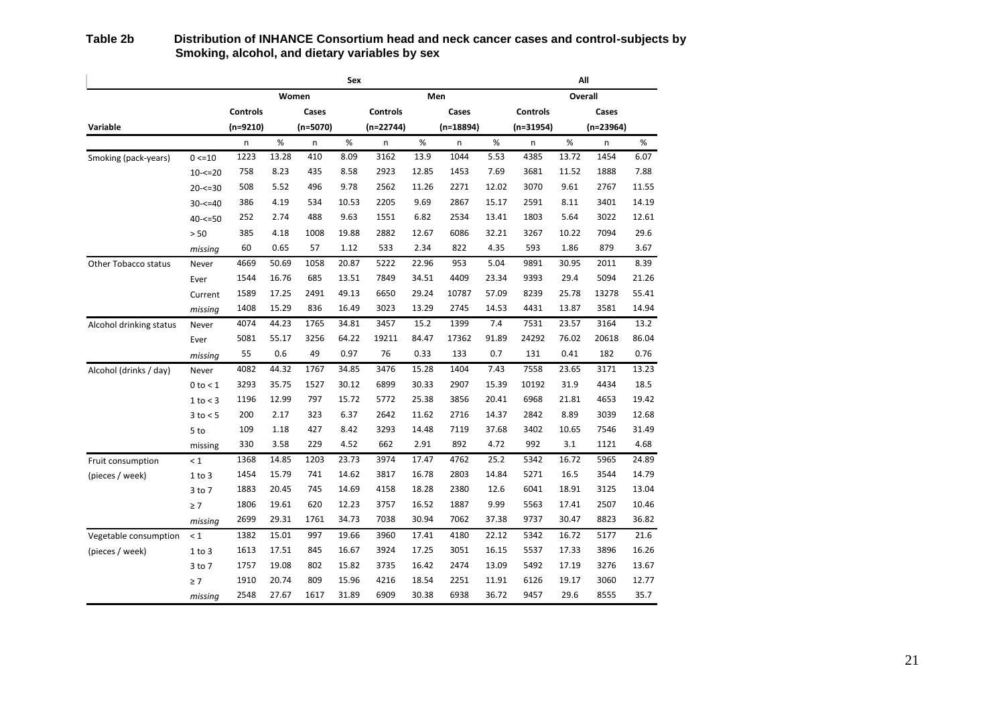|                         |               | All             |       |            |       |                 |       |             |       |                 |       |             |       |  |  |
|-------------------------|---------------|-----------------|-------|------------|-------|-----------------|-------|-------------|-------|-----------------|-------|-------------|-------|--|--|
|                         |               |                 |       | Women      |       |                 |       | Men         |       | Overall         |       |             |       |  |  |
|                         |               | <b>Controls</b> |       | Cases      |       | <b>Controls</b> |       | Cases       |       | <b>Controls</b> |       | Cases       |       |  |  |
| Variable                |               | $(n=9210)$      |       | $(n=5070)$ |       | $(n=22744)$     |       | $(n=18894)$ |       | $(n=31954)$     |       | $(n=23964)$ |       |  |  |
|                         |               | n               | $\%$  | n          | $\%$  | n               | $\%$  | n           | $\%$  | n               | %     | n           | %     |  |  |
| Smoking (pack-years)    | $0 < = 10$    | 1223            | 13.28 | 410        | 8.09  | 3162            | 13.9  | 1044        | 5.53  | 4385            | 13.72 | 1454        | 6.07  |  |  |
|                         | $10 - 5 = 20$ | 758             | 8.23  | 435        | 8.58  | 2923            | 12.85 | 1453        | 7.69  | 3681            | 11.52 | 1888        | 7.88  |  |  |
|                         | $20 - 5 = 30$ | 508             | 5.52  | 496        | 9.78  | 2562            | 11.26 | 2271        | 12.02 | 3070            | 9.61  | 2767        | 11.55 |  |  |
|                         | $30 - 5 = 40$ | 386             | 4.19  | 534        | 10.53 | 2205            | 9.69  | 2867        | 15.17 | 2591            | 8.11  | 3401        | 14.19 |  |  |
|                         | $40 - 50$     | 252             | 2.74  | 488        | 9.63  | 1551            | 6.82  | 2534        | 13.41 | 1803            | 5.64  | 3022        | 12.61 |  |  |
|                         | > 50          | 385             | 4.18  | 1008       | 19.88 | 2882            | 12.67 | 6086        | 32.21 | 3267            | 10.22 | 7094        | 29.6  |  |  |
|                         | missing       | 60              | 0.65  | 57         | 1.12  | 533             | 2.34  | 822         | 4.35  | 593             | 1.86  | 879         | 3.67  |  |  |
| Other Tobacco status    | Never         | 4669            | 50.69 | 1058       | 20.87 | 5222            | 22.96 | 953         | 5.04  | 9891            | 30.95 | 2011        | 8.39  |  |  |
|                         | Ever          | 1544            | 16.76 | 685        | 13.51 | 7849            | 34.51 | 4409        | 23.34 | 9393            | 29.4  | 5094        | 21.26 |  |  |
|                         | Current       | 1589            | 17.25 | 2491       | 49.13 | 6650            | 29.24 | 10787       | 57.09 | 8239            | 25.78 | 13278       | 55.41 |  |  |
|                         | missing       | 1408            | 15.29 | 836        | 16.49 | 3023            | 13.29 | 2745        | 14.53 | 4431            | 13.87 | 3581        | 14.94 |  |  |
| Alcohol drinking status | Never         | 4074            | 44.23 | 1765       | 34.81 | 3457            | 15.2  | 1399        | 7.4   | 7531            | 23.57 | 3164        | 13.2  |  |  |
|                         | Ever          | 5081            | 55.17 | 3256       | 64.22 | 19211           | 84.47 | 17362       | 91.89 | 24292           | 76.02 | 20618       | 86.04 |  |  |
|                         | missing       | 55              | 0.6   | 49         | 0.97  | 76              | 0.33  | 133         | 0.7   | 131             | 0.41  | 182         | 0.76  |  |  |
| Alcohol (drinks / day)  | Never         | 4082            | 44.32 | 1767       | 34.85 | 3476            | 15.28 | 1404        | 7.43  | 7558            | 23.65 | 3171        | 13.23 |  |  |
|                         | $0$ to $<$ 1  | 3293            | 35.75 | 1527       | 30.12 | 6899            | 30.33 | 2907        | 15.39 | 10192           | 31.9  | 4434        | 18.5  |  |  |
|                         | 1 to < 3      | 1196            | 12.99 | 797        | 15.72 | 5772            | 25.38 | 3856        | 20.41 | 6968            | 21.81 | 4653        | 19.42 |  |  |
|                         | $3$ to $< 5$  | 200             | 2.17  | 323        | 6.37  | 2642            | 11.62 | 2716        | 14.37 | 2842            | 8.89  | 3039        | 12.68 |  |  |
|                         | 5 to          | 109             | 1.18  | 427        | 8.42  | 3293            | 14.48 | 7119        | 37.68 | 3402            | 10.65 | 7546        | 31.49 |  |  |
|                         | missing       | 330             | 3.58  | 229        | 4.52  | 662             | 2.91  | 892         | 4.72  | 992             | 3.1   | 1121        | 4.68  |  |  |
| Fruit consumption       | $\leq 1$      | 1368            | 14.85 | 1203       | 23.73 | 3974            | 17.47 | 4762        | 25.2  | 5342            | 16.72 | 5965        | 24.89 |  |  |
| (pieces / week)         | 1 to 3        | 1454            | 15.79 | 741        | 14.62 | 3817            | 16.78 | 2803        | 14.84 | 5271            | 16.5  | 3544        | 14.79 |  |  |
|                         | 3 to 7        | 1883            | 20.45 | 745        | 14.69 | 4158            | 18.28 | 2380        | 12.6  | 6041            | 18.91 | 3125        | 13.04 |  |  |
|                         | $\geq 7$      | 1806            | 19.61 | 620        | 12.23 | 3757            | 16.52 | 1887        | 9.99  | 5563            | 17.41 | 2507        | 10.46 |  |  |
|                         | missing       | 2699            | 29.31 | 1761       | 34.73 | 7038            | 30.94 | 7062        | 37.38 | 9737            | 30.47 | 8823        | 36.82 |  |  |
| Vegetable consumption   | $\leq 1$      | 1382            | 15.01 | 997        | 19.66 | 3960            | 17.41 | 4180        | 22.12 | 5342            | 16.72 | 5177        | 21.6  |  |  |
| (pieces / week)         | 1 to 3        | 1613            | 17.51 | 845        | 16.67 | 3924            | 17.25 | 3051        | 16.15 | 5537            | 17.33 | 3896        | 16.26 |  |  |
|                         | 3 to 7        | 1757            | 19.08 | 802        | 15.82 | 3735            | 16.42 | 2474        | 13.09 | 5492            | 17.19 | 3276        | 13.67 |  |  |
|                         | $\geq 7$      | 1910            | 20.74 | 809        | 15.96 | 4216            | 18.54 | 2251        | 11.91 | 6126            | 19.17 | 3060        | 12.77 |  |  |
|                         | missing       | 2548            | 27.67 | 1617       | 31.89 | 6909            | 30.38 | 6938        | 36.72 | 9457            | 29.6  | 8555        | 35.7  |  |  |

#### **Table 2b Distribution of INHANCE Consortium head and neck cancer cases and control-subjects by Smoking, alcohol, and dietary variables by sex**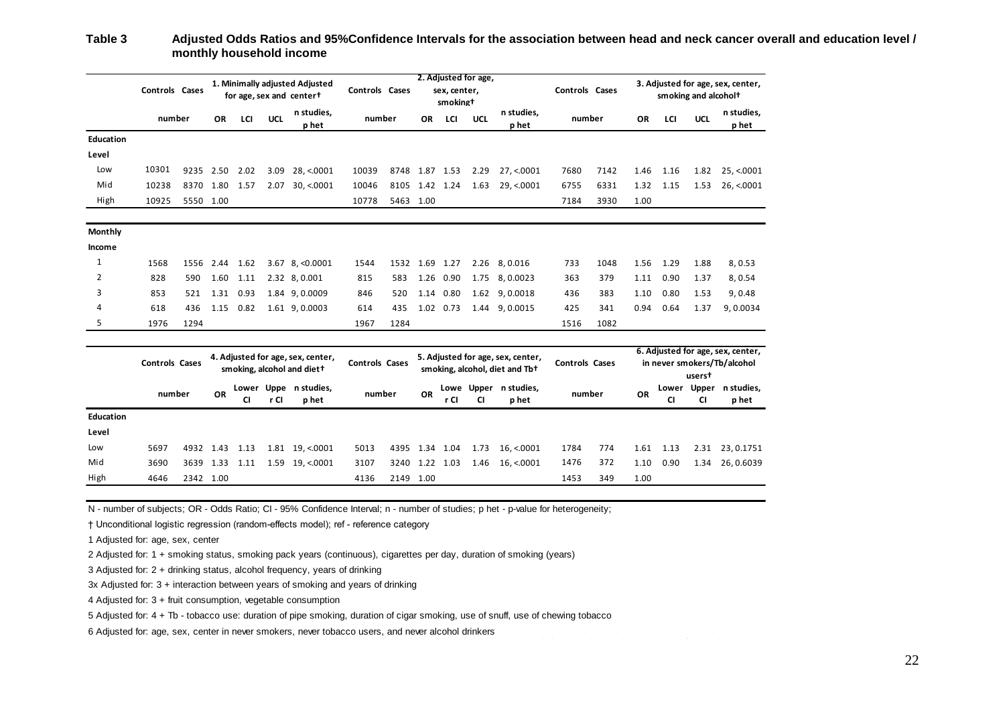#### **Table 3 Adjusted Odds Ratios and 95%Confidence Intervals for the association between head and neck cancer overall and education level / monthly household income**

|                  |                       |           |                                                                 |                                                            |                       | <b>INDIANAL HOUSENOID INCOME</b> |                                                                                |                |      |           |                       |                                |                                                                            |      |      |                                                                       |            |                                |  |  |
|------------------|-----------------------|-----------|-----------------------------------------------------------------|------------------------------------------------------------|-----------------------|----------------------------------|--------------------------------------------------------------------------------|----------------|------|-----------|-----------------------|--------------------------------|----------------------------------------------------------------------------|------|------|-----------------------------------------------------------------------|------------|--------------------------------|--|--|
|                  | <b>Controls Cases</b> |           |                                                                 | 1. Minimally adjusted Adjusted<br>for age, sex and centert |                       |                                  | 2. Adjusted for age,<br>Controls Cases<br>sex, center,<br>smoking <sup>+</sup> |                |      |           |                       |                                | Controls Cases                                                             |      |      | 3. Adjusted for age, sex, center,<br>smoking and alcohol <sup>+</sup> |            |                                |  |  |
|                  | number                |           | ΟR                                                              | LCI                                                        | <b>UCL</b>            | n studies,<br>p het              | number                                                                         |                | 0R   | LCI       | <b>UCL</b>            | n studies,<br>p het            | number                                                                     |      | OR   | LCI                                                                   | <b>UCL</b> | n studies,<br>p het            |  |  |
| <b>Education</b> |                       |           |                                                                 |                                                            |                       |                                  |                                                                                |                |      |           |                       |                                |                                                                            |      |      |                                                                       |            |                                |  |  |
| Level            |                       |           |                                                                 |                                                            |                       |                                  |                                                                                |                |      |           |                       |                                |                                                                            |      |      |                                                                       |            |                                |  |  |
| Low              | 10301                 |           | 9235 2.50                                                       | 2.02                                                       |                       | 3.09 28, <.0001                  | 10039                                                                          | 8748 1.87 1.53 |      |           | 2.29                  | 27, <.0001                     | 7680                                                                       | 7142 | 1.46 | 1.16                                                                  |            | 1.82 25, <.0001                |  |  |
| Mid              | 10238                 |           | 8370 1.80 1.57                                                  |                                                            | 2.07                  | 30, < 0001                       | 10046                                                                          | 8105 1.42 1.24 |      |           | 1.63                  | 29, < 0001                     | 6755                                                                       | 6331 | 1.32 | 1.15                                                                  | 1.53       | 26, < 0001                     |  |  |
| High             | 10925                 | 5550 1.00 |                                                                 |                                                            |                       |                                  | 10778                                                                          | 5463 1.00      |      |           |                       |                                | 7184                                                                       | 3930 | 1.00 |                                                                       |            |                                |  |  |
| Monthly          |                       |           |                                                                 |                                                            |                       |                                  |                                                                                |                |      |           |                       |                                |                                                                            |      |      |                                                                       |            |                                |  |  |
| Income           |                       |           |                                                                 |                                                            |                       |                                  |                                                                                |                |      |           |                       |                                |                                                                            |      |      |                                                                       |            |                                |  |  |
| 1                | 1568                  |           | 1556 2.44                                                       | 1.62                                                       |                       | $3.67$ $8, < 0.0001$             | 1544                                                                           | 1532 1.69 1.27 |      |           | 2.26                  | 8,0.016                        | 733                                                                        | 1048 | 1.56 | 1.29                                                                  | 1.88       | 8,0.53                         |  |  |
| $\overline{2}$   | 828                   | 590       | 1.60                                                            | 1.11                                                       |                       | 2.32 8,0.001                     | 815                                                                            | 583            | 1.26 | 0.90      | 1.75                  | 8,0.0023                       | 363                                                                        | 379  | 1.11 | 0.90                                                                  | 1.37       | 8,0.54                         |  |  |
| 3                | 853                   | 521       | 1.31                                                            | 0.93                                                       |                       | 1.84 9,0.0009                    | 846                                                                            | 520            | 1.14 | 0.80      | 1.62                  | 9,0.0018                       | 436                                                                        | 383  | 1.10 | 0.80                                                                  | 1.53       | 9,0.48                         |  |  |
| 4                | 618                   | 436       | 1.15                                                            | 0.82                                                       |                       | 1.61 9,0.0003                    | 614                                                                            | 435            |      | 1.02 0.73 |                       | 1.44 9,0.0015                  | 425                                                                        | 341  | 0.94 | 0.64                                                                  | 1.37       | 9,0.0034                       |  |  |
| 5                | 1976                  | 1294      |                                                                 |                                                            |                       |                                  | 1967                                                                           | 1284           |      |           |                       |                                | 1516                                                                       | 1082 |      |                                                                       |            |                                |  |  |
|                  | <b>Controls Cases</b> |           | 4. Adjusted for age, sex, center,<br>smoking, alcohol and diet+ |                                                            | <b>Controls Cases</b> |                                  | 5. Adjusted for age, sex, center,<br>smoking, alcohol, diet and Tb+            |                |      |           | <b>Controls Cases</b> |                                | 6. Adjusted for age, sex, center,<br>in never smokers/Tb/alcohol<br>userst |      |      |                                                                       |            |                                |  |  |
|                  | number                |           | OR                                                              | <b>CI</b>                                                  | Lower Uppe<br>r Cl    | n studies,<br>p het              | number                                                                         |                | OR   | r Cl      | <b>CI</b>             | Lowe Upper n studies,<br>p het | number                                                                     |      | OR   | <b>CI</b>                                                             | <b>CI</b>  | Lower Upper nstudies,<br>p het |  |  |
| Education        |                       |           |                                                                 |                                                            |                       |                                  |                                                                                |                |      |           |                       |                                |                                                                            |      |      |                                                                       |            |                                |  |  |
| Level            |                       |           |                                                                 |                                                            |                       |                                  |                                                                                |                |      |           |                       |                                |                                                                            |      |      |                                                                       |            |                                |  |  |
| Low              | 5697                  | 4932 1.43 |                                                                 | 1.13                                                       |                       | 1.81 19, <.0001                  | 5013                                                                           | 4395 1.34 1.04 |      |           |                       | $1.73$ 16, <.0001              | 1784                                                                       | 774  | 1.61 | 1.13                                                                  |            | 2.31 23, 0.1751                |  |  |
| Mid              | 3690                  | 3639 1.33 |                                                                 | 1.11                                                       |                       | 1.59 19, <.0001                  | 3107                                                                           | 3240 1.22      |      | 1.03      | 1.46                  | 16,<0001                       | 1476                                                                       | 372  | 1.10 | 0.90                                                                  | 1.34       | 26, 0.6039                     |  |  |
| High             | 4646                  | 2342 1.00 |                                                                 |                                                            |                       |                                  | 4136                                                                           | 2149 1.00      |      |           |                       |                                | 1453                                                                       | 349  | 1.00 |                                                                       |            |                                |  |  |

N - number of subjects; OR - Odds Ratio; CI - 95% Confidence Interval; n - number of studies; p het - p-value for heterogeneity;

† Unconditional logistic regression (random-effects model); ref - reference category

1 Adjusted for: age, sex, center

2 Adjusted for: 1 + smoking status, smoking pack years (continuous), cigarettes per day, duration of smoking (years)

3 Adjusted for: 2 + drinking status, alcohol frequency, years of drinking

3x Adjusted for: 3 + interaction between years of smoking and years of drinking

4 Adjusted for: 3 + fruit consumption, vegetable consumption

5 Adjusted for: 4 + Tb - tobacco use: duration of pipe smoking, duration of cigar smoking, use of snuff, use of chewing tobacco

6 Adjusted for: age, sex, center in never smokers, never tobacco users, and never alcohol drinkers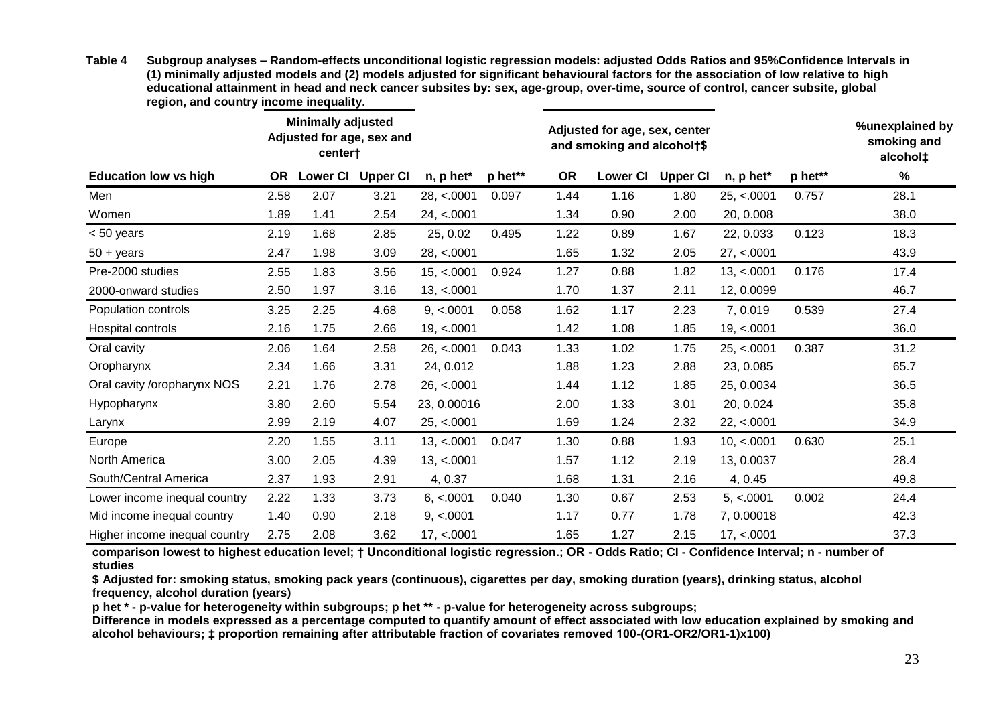| Table 4 | Subgroup analyses – Random-effects unconditional logistic regression models: adjusted Odds Ratios and 95%Confidence Intervals in      |
|---------|---------------------------------------------------------------------------------------------------------------------------------------|
|         | (1) minimally adjusted models and (2) models adjusted for significant behavioural factors for the association of low relative to high |
|         | educational attainment in head and neck cancer subsites by: sex, age-group, over-time, source of control, cancer subsite, global      |
|         | region, and country income inequality.                                                                                                |

|                               |           | <b>Minimally adjusted</b><br>Adjusted for age, sex and<br>center† |                 |             |         | Adjusted for age, sex, center<br>and smoking and alcohol†\$ |                 | %unexplained by<br>smoking and<br>alcohol‡ |             |         |      |
|-------------------------------|-----------|-------------------------------------------------------------------|-----------------|-------------|---------|-------------------------------------------------------------|-----------------|--------------------------------------------|-------------|---------|------|
| <b>Education low vs high</b>  | <b>OR</b> | <b>Lower CI</b>                                                   | <b>Upper CI</b> | n, p het*   | p het** | <b>OR</b>                                                   | <b>Lower CI</b> | <b>Upper CI</b>                            | n, p het*   | p het** | $\%$ |
| Men                           | 2.58      | 2.07                                                              | 3.21            | 28, < .0001 | 0.097   | 1.44                                                        | 1.16            | 1.80                                       | 25, < 0001  | 0.757   | 28.1 |
| Women                         | 1.89      | 1.41                                                              | 2.54            | 24, < 0001  |         | 1.34                                                        | 0.90            | 2.00                                       | 20, 0.008   |         | 38.0 |
| $< 50$ years                  | 2.19      | 1.68                                                              | 2.85            | 25, 0.02    | 0.495   | 1.22                                                        | 0.89            | 1.67                                       | 22, 0.033   | 0.123   | 18.3 |
| $50 + \text{years}$           | 2.47      | 1.98                                                              | 3.09            | 28, < .0001 |         | 1.65                                                        | 1.32            | 2.05                                       | 27, < 0001  |         | 43.9 |
| Pre-2000 studies              | 2.55      | 1.83                                                              | 3.56            | 15, < .0001 | 0.924   | 1.27                                                        | 0.88            | 1.82                                       | 13, < .0001 | 0.176   | 17.4 |
| 2000-onward studies           | 2.50      | 1.97                                                              | 3.16            | 13, < .0001 |         | 1.70                                                        | 1.37            | 2.11                                       | 12, 0.0099  |         | 46.7 |
| Population controls           | 3.25      | 2.25                                                              | 4.68            | 9, < .0001  | 0.058   | 1.62                                                        | 1.17            | 2.23                                       | 7,0.019     | 0.539   | 27.4 |
| Hospital controls             | 2.16      | 1.75                                                              | 2.66            | 19, < .0001 |         | 1.42                                                        | 1.08            | 1.85                                       | 19, < .0001 |         | 36.0 |
| Oral cavity                   | 2.06      | 1.64                                                              | 2.58            | 26, < 0001  | 0.043   | 1.33                                                        | 1.02            | 1.75                                       | 25, < 0001  | 0.387   | 31.2 |
| Oropharynx                    | 2.34      | 1.66                                                              | 3.31            | 24, 0.012   |         | 1.88                                                        | 1.23            | 2.88                                       | 23, 0.085   |         | 65.7 |
| Oral cavity / oropharynx NOS  | 2.21      | 1.76                                                              | 2.78            | 26, < 0001  |         | 1.44                                                        | 1.12            | 1.85                                       | 25, 0.0034  |         | 36.5 |
| Hypopharynx                   | 3.80      | 2.60                                                              | 5.54            | 23, 0.00016 |         | 2.00                                                        | 1.33            | 3.01                                       | 20, 0.024   |         | 35.8 |
| Larynx                        | 2.99      | 2.19                                                              | 4.07            | 25, < 0001  |         | 1.69                                                        | 1.24            | 2.32                                       | 22, < 0001  |         | 34.9 |
| Europe                        | 2.20      | 1.55                                                              | 3.11            | 13, < .0001 | 0.047   | 1.30                                                        | 0.88            | 1.93                                       | 10, < .0001 | 0.630   | 25.1 |
| North America                 | 3.00      | 2.05                                                              | 4.39            | 13, < .0001 |         | 1.57                                                        | 1.12            | 2.19                                       | 13, 0.0037  |         | 28.4 |
| South/Central America         | 2.37      | 1.93                                                              | 2.91            | 4, 0.37     |         | 1.68                                                        | 1.31            | 2.16                                       | 4, 0.45     |         | 49.8 |
| Lower income inequal country  | 2.22      | 1.33                                                              | 3.73            | 6, < .0001  | 0.040   | 1.30                                                        | 0.67            | 2.53                                       | 5, < 0001   | 0.002   | 24.4 |
| Mid income inequal country    | 1.40      | 0.90                                                              | 2.18            | 9, < .0001  |         | 1.17                                                        | 0.77            | 1.78                                       | 7,0.00018   |         | 42.3 |
| Higher income inequal country | 2.75      | 2.08                                                              | 3.62            | 17, < .0001 |         | 1.65                                                        | 1.27            | 2.15                                       | 17, < .0001 |         | 37.3 |

**comparison lowest to highest education level; † Unconditional logistic regression.; OR - Odds Ratio; CI - Confidence Interval; n - number of studies**

**\$ Adjusted for: smoking status, smoking pack years (continuous), cigarettes per day, smoking duration (years), drinking status, alcohol frequency, alcohol duration (years)** 

**p het \* - p-value for heterogeneity within subgroups; p het \*\* - p-value for heterogeneity across subgroups;** 

**Difference in models expressed as a percentage computed to quantify amount of effect associated with low education explained by smoking and alcohol behaviours; ‡ proportion remaining after attributable fraction of covariates removed 100-(OR1-OR2/OR1-1)x100)**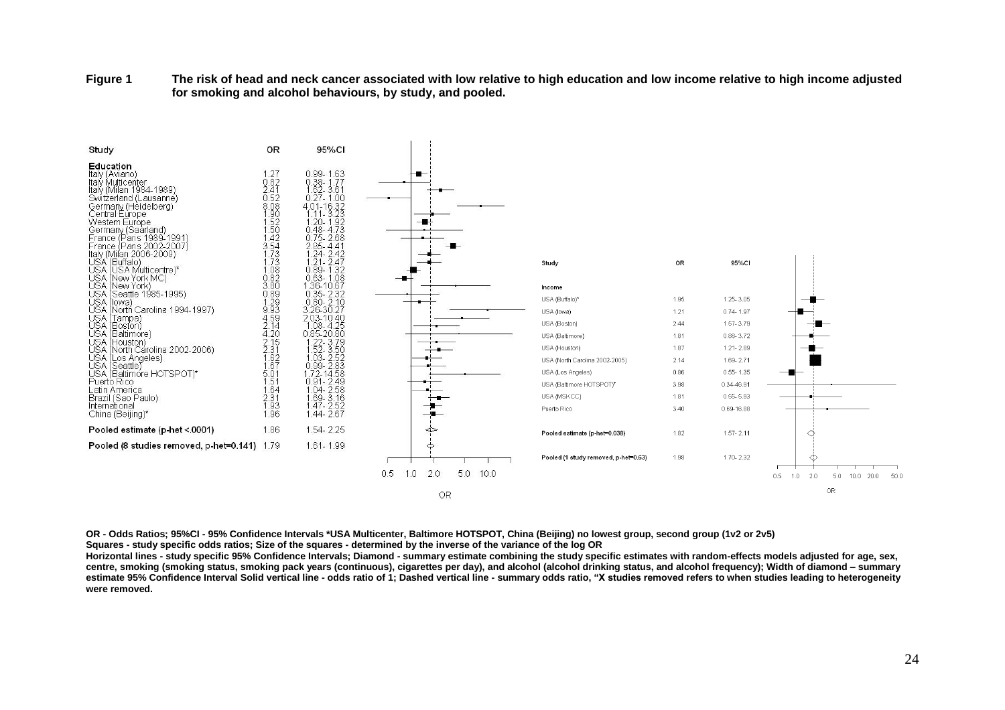**Figure 1 The risk of head and neck cancer associated with low relative to high education and low income relative to high income adjusted for smoking and alcohol behaviours, by study, and pooled.** 



**OR - Odds Ratios; 95%CI - 95% Confidence Intervals \*USA Multicenter, Baltimore HOTSPOT, China (Beijing) no lowest group, second group (1v2 or 2v5) Squares - study specific odds ratios; Size of the squares - determined by the inverse of the variance of the log OR**

**Horizontal lines - study specific 95% Confidence Intervals; Diamond - summary estimate combining the study specific estimates with random-effects models adjusted for age, sex, centre, smoking (smoking status, smoking pack years (continuous), cigarettes per day), and alcohol (alcohol drinking status, and alcohol frequency); Width of diamond – summary estimate 95% Confidence Interval Solid vertical line - odds ratio of 1; Dashed vertical line - summary odds ratio, "X studies removed refers to when studies leading to heterogeneity were removed.**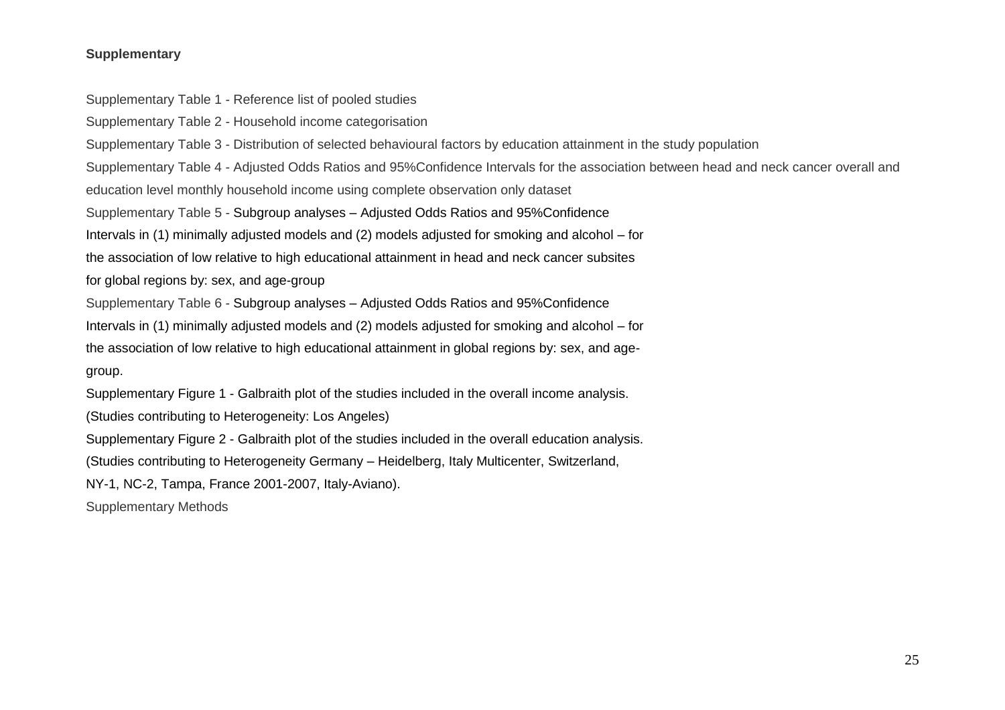## **Supplementary**

Supplementary Table 1 - Reference list of pooled studies

Supplementary Table 2 - Household income categorisation

Supplementary Table 3 - Distribution of selected behavioural factors by education attainment in the study population

Supplementary Table 4 - Adjusted Odds Ratios and 95%Confidence Intervals for the association between head and neck cancer overall and education level monthly household income using complete observation only dataset

Supplementary Table 5 - Subgroup analyses – Adjusted Odds Ratios and 95%Confidence

Intervals in (1) minimally adjusted models and (2) models adjusted for smoking and alcohol – for

the association of low relative to high educational attainment in head and neck cancer subsites

for global regions by: sex, and age-group

Supplementary Table 6 - Subgroup analyses – Adjusted Odds Ratios and 95%Confidence

Intervals in (1) minimally adjusted models and (2) models adjusted for smoking and alcohol – for

the association of low relative to high educational attainment in global regions by: sex, and age-

group.

Supplementary Figure 1 - Galbraith plot of the studies included in the overall income analysis.

(Studies contributing to Heterogeneity: Los Angeles)

Supplementary Figure 2 - Galbraith plot of the studies included in the overall education analysis.

(Studies contributing to Heterogeneity Germany – Heidelberg, Italy Multicenter, Switzerland,

NY-1, NC-2, Tampa, France 2001-2007, Italy-Aviano).

Supplementary Methods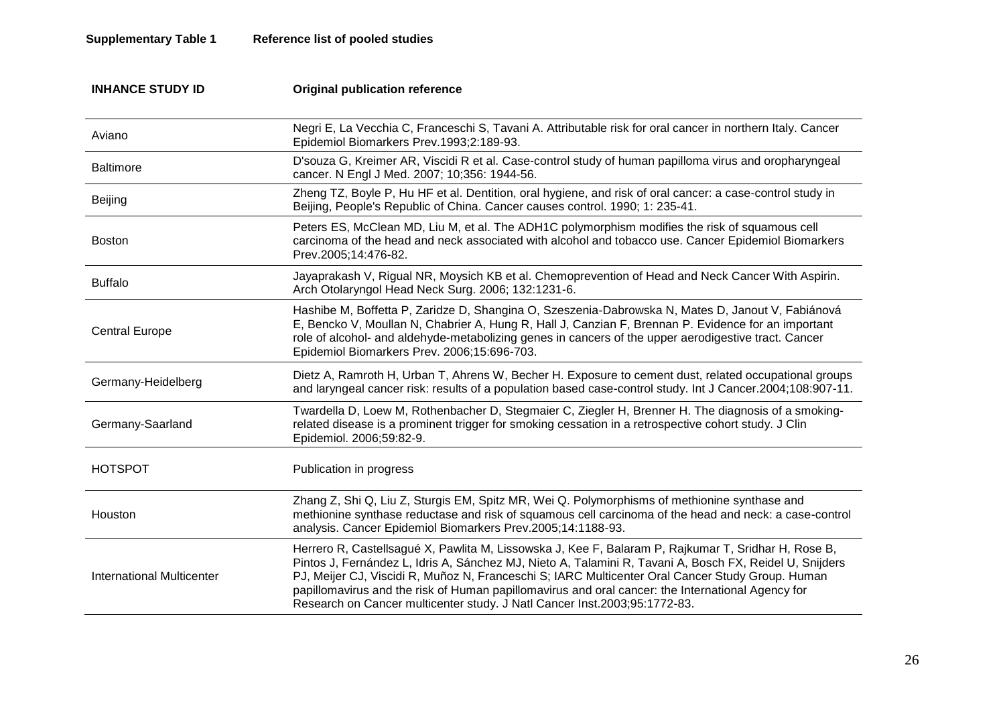## **Supplementary Table 1 Reference list of pooled studies**

| <b>INHANCE STUDY ID</b>   | <b>Original publication reference</b>                                                                                                                                                                                                                                                                                                                                                                                                                                                                |
|---------------------------|------------------------------------------------------------------------------------------------------------------------------------------------------------------------------------------------------------------------------------------------------------------------------------------------------------------------------------------------------------------------------------------------------------------------------------------------------------------------------------------------------|
| Aviano                    | Negri E, La Vecchia C, Franceschi S, Tavani A. Attributable risk for oral cancer in northern Italy. Cancer<br>Epidemiol Biomarkers Prev.1993;2:189-93.                                                                                                                                                                                                                                                                                                                                               |
| <b>Baltimore</b>          | D'souza G, Kreimer AR, Viscidi R et al. Case-control study of human papilloma virus and oropharyngeal<br>cancer. N Engl J Med. 2007; 10;356: 1944-56.                                                                                                                                                                                                                                                                                                                                                |
| Beijing                   | Zheng TZ, Boyle P, Hu HF et al. Dentition, oral hygiene, and risk of oral cancer: a case-control study in<br>Beijing, People's Republic of China. Cancer causes control. 1990; 1: 235-41.                                                                                                                                                                                                                                                                                                            |
| <b>Boston</b>             | Peters ES, McClean MD, Liu M, et al. The ADH1C polymorphism modifies the risk of squamous cell<br>carcinoma of the head and neck associated with alcohol and tobacco use. Cancer Epidemiol Biomarkers<br>Prev.2005;14:476-82.                                                                                                                                                                                                                                                                        |
| <b>Buffalo</b>            | Jayaprakash V, Rigual NR, Moysich KB et al. Chemoprevention of Head and Neck Cancer With Aspirin.<br>Arch Otolaryngol Head Neck Surg. 2006; 132:1231-6.                                                                                                                                                                                                                                                                                                                                              |
| <b>Central Europe</b>     | Hashibe M, Boffetta P, Zaridze D, Shangina O, Szeszenia-Dabrowska N, Mates D, Janout V, Fabiánová<br>E, Bencko V, Moullan N, Chabrier A, Hung R, Hall J, Canzian F, Brennan P. Evidence for an important<br>role of alcohol- and aldehyde-metabolizing genes in cancers of the upper aerodigestive tract. Cancer<br>Epidemiol Biomarkers Prev. 2006;15:696-703.                                                                                                                                      |
| Germany-Heidelberg        | Dietz A, Ramroth H, Urban T, Ahrens W, Becher H. Exposure to cement dust, related occupational groups<br>and laryngeal cancer risk: results of a population based case-control study. Int J Cancer.2004;108:907-11.                                                                                                                                                                                                                                                                                  |
| Germany-Saarland          | Twardella D, Loew M, Rothenbacher D, Stegmaier C, Ziegler H, Brenner H. The diagnosis of a smoking-<br>related disease is a prominent trigger for smoking cessation in a retrospective cohort study. J Clin<br>Epidemiol. 2006;59:82-9.                                                                                                                                                                                                                                                              |
| <b>HOTSPOT</b>            | Publication in progress                                                                                                                                                                                                                                                                                                                                                                                                                                                                              |
| Houston                   | Zhang Z, Shi Q, Liu Z, Sturgis EM, Spitz MR, Wei Q. Polymorphisms of methionine synthase and<br>methionine synthase reductase and risk of squamous cell carcinoma of the head and neck: a case-control<br>analysis. Cancer Epidemiol Biomarkers Prev.2005;14:1188-93.                                                                                                                                                                                                                                |
| International Multicenter | Herrero R, Castellsagué X, Pawlita M, Lissowska J, Kee F, Balaram P, Rajkumar T, Sridhar H, Rose B,<br>Pintos J, Fernández L, Idris A, Sánchez MJ, Nieto A, Talamini R, Tavani A, Bosch FX, Reidel U, Snijders<br>PJ, Meijer CJ, Viscidi R, Muñoz N, Franceschi S; IARC Multicenter Oral Cancer Study Group. Human<br>papillomavirus and the risk of Human papillomavirus and oral cancer: the International Agency for<br>Research on Cancer multicenter study. J Natl Cancer Inst.2003;95:1772-83. |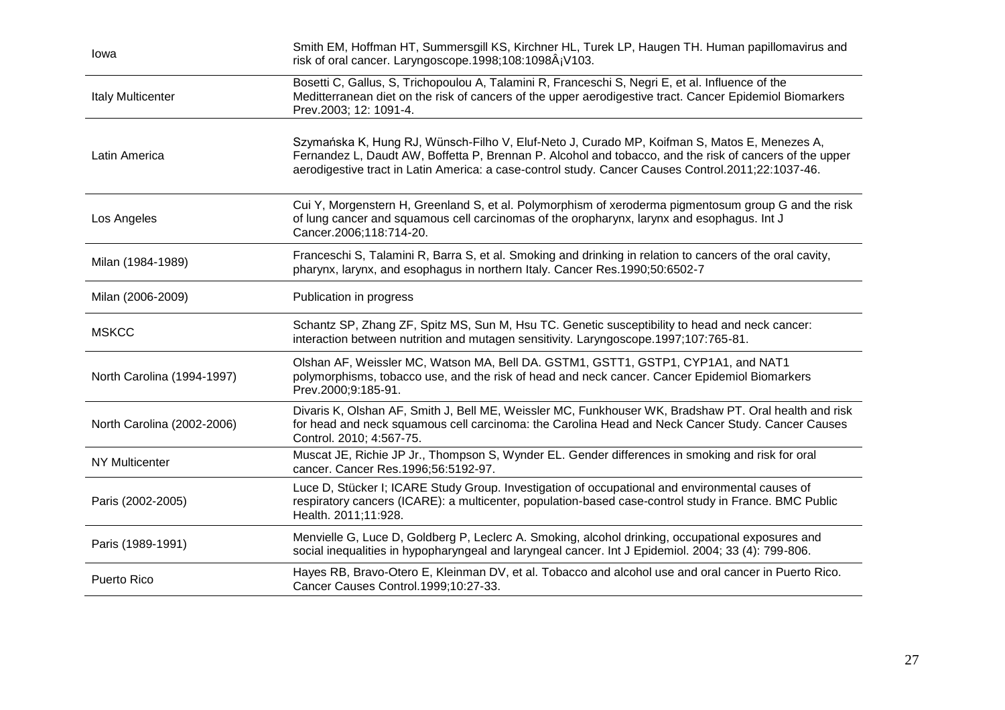| lowa                       | Smith EM, Hoffman HT, Summersgill KS, Kirchner HL, Turek LP, Haugen TH. Human papillomavirus and<br>risk of oral cancer. Laryngoscope.1998;108:1098Â;V103.                                                                                                                                                    |
|----------------------------|---------------------------------------------------------------------------------------------------------------------------------------------------------------------------------------------------------------------------------------------------------------------------------------------------------------|
| <b>Italy Multicenter</b>   | Bosetti C, Gallus, S, Trichopoulou A, Talamini R, Franceschi S, Negri E, et al. Influence of the<br>Meditterranean diet on the risk of cancers of the upper aerodigestive tract. Cancer Epidemiol Biomarkers<br>Prev.2003; 12: 1091-4.                                                                        |
| Latin America              | Szymańska K, Hung RJ, Wünsch-Filho V, Eluf-Neto J, Curado MP, Koifman S, Matos E, Menezes A,<br>Fernandez L, Daudt AW, Boffetta P, Brennan P. Alcohol and tobacco, and the risk of cancers of the upper<br>aerodigestive tract in Latin America: a case-control study. Cancer Causes Control.2011;22:1037-46. |
| Los Angeles                | Cui Y, Morgenstern H, Greenland S, et al. Polymorphism of xeroderma pigmentosum group G and the risk<br>of lung cancer and squamous cell carcinomas of the oropharynx, larynx and esophagus. Int J<br>Cancer.2006;118:714-20.                                                                                 |
| Milan (1984-1989)          | Franceschi S, Talamini R, Barra S, et al. Smoking and drinking in relation to cancers of the oral cavity,<br>pharynx, larynx, and esophagus in northern Italy. Cancer Res.1990;50:6502-7                                                                                                                      |
| Milan (2006-2009)          | Publication in progress                                                                                                                                                                                                                                                                                       |
| <b>MSKCC</b>               | Schantz SP, Zhang ZF, Spitz MS, Sun M, Hsu TC. Genetic susceptibility to head and neck cancer:<br>interaction between nutrition and mutagen sensitivity. Laryngoscope.1997;107:765-81.                                                                                                                        |
| North Carolina (1994-1997) | Olshan AF, Weissler MC, Watson MA, Bell DA. GSTM1, GSTT1, GSTP1, CYP1A1, and NAT1<br>polymorphisms, tobacco use, and the risk of head and neck cancer. Cancer Epidemiol Biomarkers<br>Prev.2000;9:185-91.                                                                                                     |
| North Carolina (2002-2006) | Divaris K, Olshan AF, Smith J, Bell ME, Weissler MC, Funkhouser WK, Bradshaw PT. Oral health and risk<br>for head and neck squamous cell carcinoma: the Carolina Head and Neck Cancer Study. Cancer Causes<br>Control. 2010; 4:567-75.                                                                        |
| <b>NY Multicenter</b>      | Muscat JE, Richie JP Jr., Thompson S, Wynder EL. Gender differences in smoking and risk for oral<br>cancer. Cancer Res. 1996; 56: 5192-97.                                                                                                                                                                    |
| Paris (2002-2005)          | Luce D, Stücker I; ICARE Study Group. Investigation of occupational and environmental causes of<br>respiratory cancers (ICARE): a multicenter, population-based case-control study in France. BMC Public<br>Health. 2011;11:928.                                                                              |
| Paris (1989-1991)          | Menvielle G, Luce D, Goldberg P, Leclerc A. Smoking, alcohol drinking, occupational exposures and<br>social inequalities in hypopharyngeal and laryngeal cancer. Int J Epidemiol. 2004; 33 (4): 799-806.                                                                                                      |
| Puerto Rico                | Hayes RB, Bravo-Otero E, Kleinman DV, et al. Tobacco and alcohol use and oral cancer in Puerto Rico.<br>Cancer Causes Control.1999;10:27-33.                                                                                                                                                                  |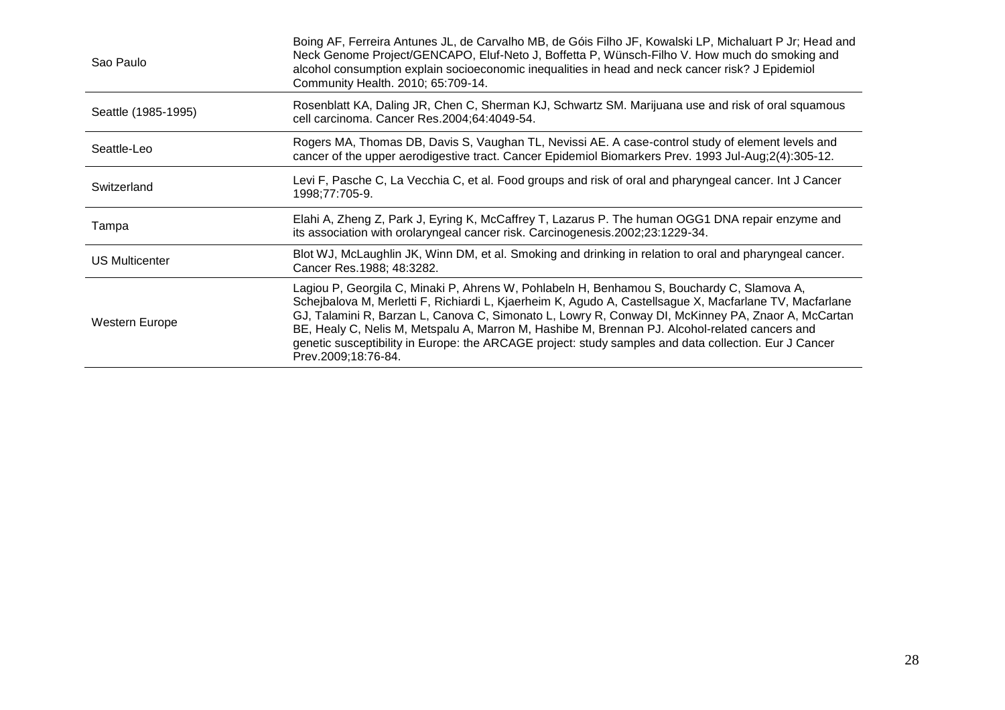| Sao Paulo           | Boing AF, Ferreira Antunes JL, de Carvalho MB, de Góis Filho JF, Kowalski LP, Michaluart P Jr; Head and<br>Neck Genome Project/GENCAPO, Eluf-Neto J, Boffetta P, Wünsch-Filho V. How much do smoking and<br>alcohol consumption explain socioeconomic inequalities in head and neck cancer risk? J Epidemiol<br>Community Health. 2010; 65:709-14.                                                                                                                                                                                            |
|---------------------|-----------------------------------------------------------------------------------------------------------------------------------------------------------------------------------------------------------------------------------------------------------------------------------------------------------------------------------------------------------------------------------------------------------------------------------------------------------------------------------------------------------------------------------------------|
| Seattle (1985-1995) | Rosenblatt KA, Daling JR, Chen C, Sherman KJ, Schwartz SM. Marijuana use and risk of oral squamous<br>cell carcinoma. Cancer Res.2004;64:4049-54.                                                                                                                                                                                                                                                                                                                                                                                             |
| Seattle-Leo         | Rogers MA, Thomas DB, Davis S, Vaughan TL, Nevissi AE. A case-control study of element levels and<br>cancer of the upper aerodigestive tract. Cancer Epidemiol Biomarkers Prev. 1993 Jul-Aug;2(4):305-12.                                                                                                                                                                                                                                                                                                                                     |
| Switzerland         | Levi F, Pasche C, La Vecchia C, et al. Food groups and risk of oral and pharyngeal cancer. Int J Cancer<br>1998;77:705-9.                                                                                                                                                                                                                                                                                                                                                                                                                     |
| Tampa               | Elahi A, Zheng Z, Park J, Eyring K, McCaffrey T, Lazarus P. The human OGG1 DNA repair enzyme and<br>its association with orolaryngeal cancer risk. Carcinogenesis.2002;23:1229-34.                                                                                                                                                                                                                                                                                                                                                            |
| US Multicenter      | Blot WJ, McLaughlin JK, Winn DM, et al. Smoking and drinking in relation to oral and pharyngeal cancer.<br>Cancer Res. 1988; 48:3282.                                                                                                                                                                                                                                                                                                                                                                                                         |
| Western Europe      | Lagiou P, Georgila C, Minaki P, Ahrens W, Pohlabeln H, Benhamou S, Bouchardy C, Slamova A,<br>Schejbalova M, Merletti F, Richiardi L, Kjaerheim K, Agudo A, Castellsague X, Macfarlane TV, Macfarlane<br>GJ, Talamini R, Barzan L, Canova C, Simonato L, Lowry R, Conway DI, McKinney PA, Znaor A, McCartan<br>BE, Healy C, Nelis M, Metspalu A, Marron M, Hashibe M, Brennan PJ. Alcohol-related cancers and<br>genetic susceptibility in Europe: the ARCAGE project: study samples and data collection. Eur J Cancer<br>Prev.2009;18:76-84. |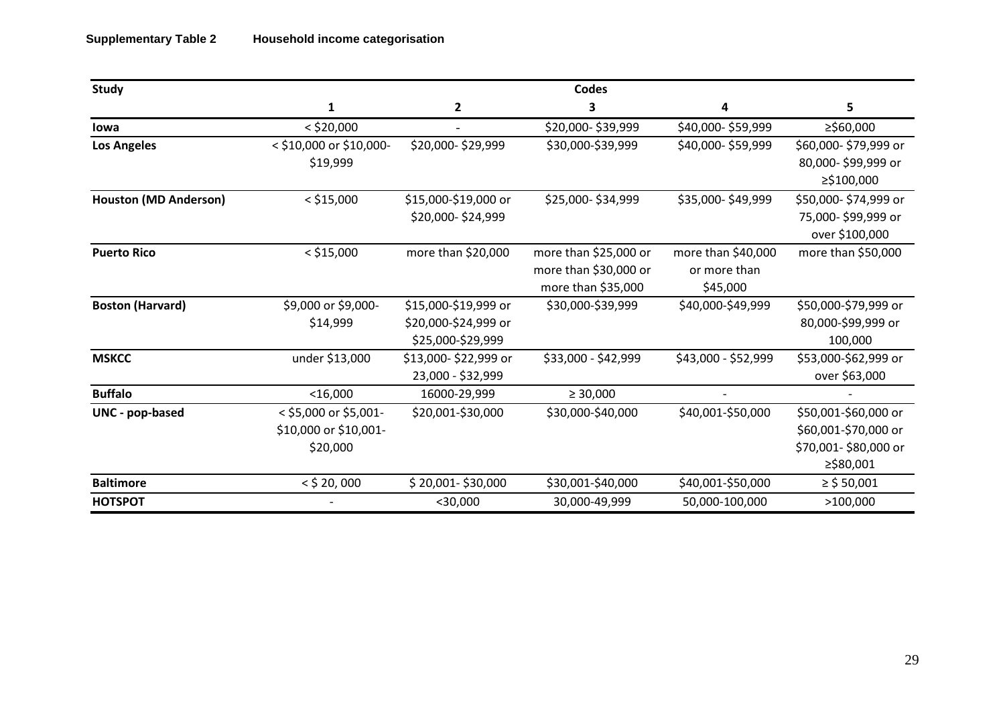| <b>Study</b>                 |                         |                      | <b>Codes</b>          |                     |                      |
|------------------------------|-------------------------|----------------------|-----------------------|---------------------|----------------------|
|                              | $\mathbf{1}$            | $\overline{2}$       | 3                     | 4                   | 5                    |
| lowa                         | $<$ \$20,000            | $\sim$               | \$20,000-\$39,999     | \$40,000-\$59,999   | ≥\$60,000            |
| <b>Los Angeles</b>           | < \$10,000 or \$10,000- | \$20,000-\$29,999    | \$30,000-\$39,999     | \$40,000-\$59,999   | \$60,000-\$79,999 or |
|                              | \$19,999                |                      |                       |                     | 80,000-\$99,999 or   |
|                              |                         |                      |                       |                     | ≥\$100,000           |
| <b>Houston (MD Anderson)</b> | $<$ \$15,000            | \$15,000-\$19,000 or | \$25,000-\$34,999     | \$35,000-\$49,999   | \$50,000-\$74,999 or |
|                              |                         | \$20,000-\$24,999    |                       |                     | 75,000-\$99,999 or   |
|                              |                         |                      |                       |                     | over \$100,000       |
| <b>Puerto Rico</b>           | $<$ \$15,000            | more than \$20,000   | more than \$25,000 or | more than \$40,000  | more than \$50,000   |
|                              |                         |                      | more than \$30,000 or | or more than        |                      |
|                              |                         |                      | more than \$35,000    | \$45,000            |                      |
| <b>Boston (Harvard)</b>      | \$9,000 or \$9,000-     | \$15,000-\$19,999 or | \$30,000-\$39,999     | \$40,000-\$49,999   | \$50,000-\$79,999 or |
|                              | \$14,999                | \$20,000-\$24,999 or |                       |                     | 80,000-\$99,999 or   |
|                              |                         | \$25,000-\$29,999    |                       |                     | 100,000              |
| <b>MSKCC</b>                 | under \$13,000          | \$13,000-\$22,999 or | \$33,000 - \$42,999   | \$43,000 - \$52,999 | \$53,000-\$62,999 or |
|                              |                         | 23,000 - \$32,999    |                       |                     | over \$63,000        |
| <b>Buffalo</b>               | $<$ 16,000              | 16000-29,999         | $\geq 30,000$         |                     |                      |
| UNC - pop-based              | < \$5,000 or \$5,001-   | \$20,001-\$30,000    | \$30,000-\$40,000     | \$40,001-\$50,000   | \$50,001-\$60,000 or |
|                              | \$10,000 or \$10,001-   |                      |                       |                     | \$60,001-\$70,000 or |
|                              | \$20,000                |                      |                       |                     | \$70,001-\$80,000 or |
|                              |                         |                      |                       |                     | ≥\$80,001            |
| <b>Baltimore</b>             | $<$ \$ 20, 000          | \$20,001-\$30,000    | \$30,001-\$40,000     | \$40,001-\$50,000   | $\ge$ \$ 50,001      |
| <b>HOTSPOT</b>               |                         | $<$ 30,000           | 30,000-49,999         | 50,000-100,000      | >100,000             |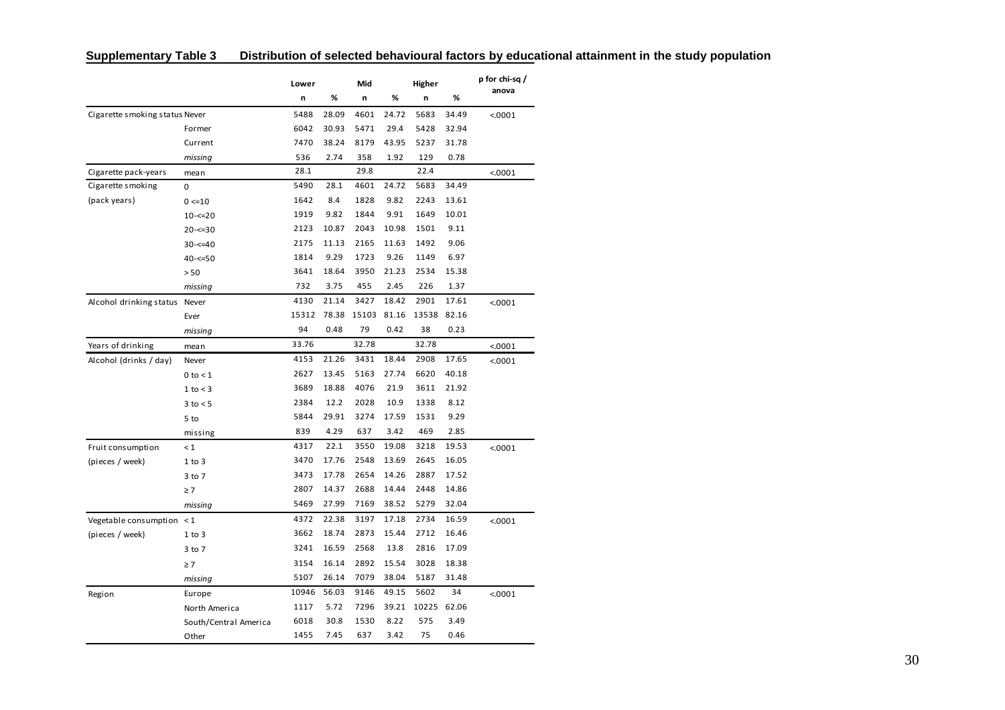|                                |                       | Lower |       | Mid   |       | Higher |       | p for chi-sq / |
|--------------------------------|-----------------------|-------|-------|-------|-------|--------|-------|----------------|
|                                |                       | n     | %     | n     | %     | n      | %     | anova          |
| Cigarette smoking status Never |                       | 5488  | 28.09 | 4601  | 24.72 | 5683   | 34.49 | < 0001         |
|                                | Former                | 6042  | 30.93 | 5471  | 29.4  | 5428   | 32.94 |                |
|                                | Current               | 7470  | 38.24 | 8179  | 43.95 | 5237   | 31.78 |                |
|                                | missing               | 536   | 2.74  | 358   | 1.92  | 129    | 0.78  |                |
| Cigarette pack-years           | mean                  | 28.1  |       | 29.8  |       | 22.4   |       | < 0001         |
| Cigarette smoking              | 0                     | 5490  | 28.1  | 4601  | 24.72 | 5683   | 34.49 |                |
| (pack years)                   | $0 \le 10$            | 1642  | 8.4   | 1828  | 9.82  | 2243   | 13.61 |                |
|                                | $10 - 520$            | 1919  | 9.82  | 1844  | 9.91  | 1649   | 10.01 |                |
|                                | $20 - 50$             | 2123  | 10.87 | 2043  | 10.98 | 1501   | 9.11  |                |
|                                | $30 - 540$            | 2175  | 11.13 | 2165  | 11.63 | 1492   | 9.06  |                |
|                                | $40 - 50$             | 1814  | 9.29  | 1723  | 9.26  | 1149   | 6.97  |                |
|                                | > 50                  | 3641  | 18.64 | 3950  | 21.23 | 2534   | 15.38 |                |
|                                | missing               | 732   | 3.75  | 455   | 2.45  | 226    | 1.37  |                |
| Alcohol drinking status Never  |                       | 4130  | 21.14 | 3427  | 18.42 | 2901   | 17.61 | < .0001        |
|                                | Ever                  | 15312 | 78.38 | 15103 | 81.16 | 13538  | 82.16 |                |
|                                | missing               | 94    | 0.48  | 79    | 0.42  | 38     | 0.23  |                |
| Years of drinking              | mean                  | 33.76 |       | 32.78 |       | 32.78  |       | < 0001         |
| Alcohol (drinks / day)         | Never                 | 4153  | 21.26 | 3431  | 18.44 | 2908   | 17.65 | < .0001        |
|                                | $0$ to $<$ 1          | 2627  | 13.45 | 5163  | 27.74 | 6620   | 40.18 |                |
|                                | $1$ to $<$ 3          | 3689  | 18.88 | 4076  | 21.9  | 3611   | 21.92 |                |
|                                | $3$ to $< 5$          | 2384  | 12.2  | 2028  | 10.9  | 1338   | 8.12  |                |
|                                | 5 to                  | 5844  | 29.91 | 3274  | 17.59 | 1531   | 9.29  |                |
|                                | missing               | 839   | 4.29  | 637   | 3.42  | 469    | 2.85  |                |
| Fruit consumption              | $\leq 1$              | 4317  | 22.1  | 3550  | 19.08 | 3218   | 19.53 | < .0001        |
| (pieces / week)                | $1$ to $3$            | 3470  | 17.76 | 2548  | 13.69 | 2645   | 16.05 |                |
|                                | 3 to 7                | 3473  | 17.78 | 2654  | 14.26 | 2887   | 17.52 |                |
|                                | $\geq 7$              | 2807  | 14.37 | 2688  | 14.44 | 2448   | 14.86 |                |
|                                | missing               | 5469  | 27.99 | 7169  | 38.52 | 5279   | 32.04 |                |
| Vegetable consumption $\leq 1$ |                       | 4372  | 22.38 | 3197  | 17.18 | 2734   | 16.59 | < .0001        |
| (pieces / week)                | $1$ to $3$            | 3662  | 18.74 | 2873  | 15.44 | 2712   | 16.46 |                |
|                                | 3 to 7                | 3241  | 16.59 | 2568  | 13.8  | 2816   | 17.09 |                |
|                                | $\geq 7$              | 3154  | 16.14 | 2892  | 15.54 | 3028   | 18.38 |                |
|                                | missing               | 5107  | 26.14 | 7079  | 38.04 | 5187   | 31.48 |                |
| Region                         | Europe                | 10946 | 56.03 | 9146  | 49.15 | 5602   | 34    | < .0001        |
|                                | North America         | 1117  | 5.72  | 7296  | 39.21 | 10225  | 62.06 |                |
|                                | South/Central America | 6018  | 30.8  | 1530  | 8.22  | 575    | 3.49  |                |
|                                | Other                 | 1455  | 7.45  | 637   | 3.42  | 75     | 0.46  |                |

| Distribution of selected behavioural factors by educational attainment in the study population<br><b>Supplementary Table 3</b> |
|--------------------------------------------------------------------------------------------------------------------------------|
|--------------------------------------------------------------------------------------------------------------------------------|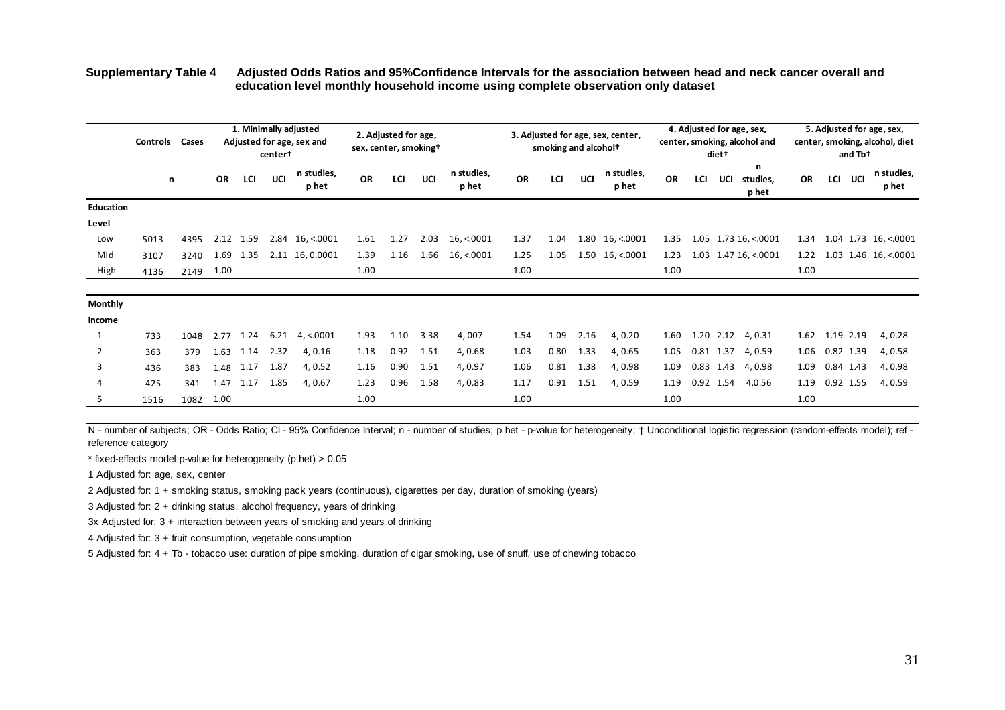#### **Supplementary Table 4 Adjusted Odds Ratios and 95%Confidence Intervals for the association between head and neck cancer overall and education level monthly household income using complete observation only dataset**

|                | Controls | Cases |           |      | center <sup>+</sup> | 1. Minimally adjusted<br>Adjusted for age, sex and | sex, center, smoking+ | 2. Adjusted for age, |      |                     |           | smoking and alcohol <sup>+</sup> |      | 3. Adjusted for age, sex, center, |           |     | diet <sup>+</sup> | 4. Adjusted for age, sex,<br>center, smoking, alcohol and |           |           | and Tb+    | 5. Adjusted for age, sex,<br>center, smoking, alcohol, diet |
|----------------|----------|-------|-----------|------|---------------------|----------------------------------------------------|-----------------------|----------------------|------|---------------------|-----------|----------------------------------|------|-----------------------------------|-----------|-----|-------------------|-----------------------------------------------------------|-----------|-----------|------------|-------------------------------------------------------------|
|                | n        |       | <b>OR</b> | LCI  | UCI                 | n studies,<br>p het                                | <b>OR</b>             | LCI                  | UCI  | n studies,<br>p het | <b>OR</b> | LCI                              | UCI  | n studies,<br>p het               | <b>OR</b> | LCI | UCI               | n<br>studies,<br>p het                                    | <b>OR</b> | LCI       | <b>UCI</b> | n studies,<br>p het                                         |
| Education      |          |       |           |      |                     |                                                    |                       |                      |      |                     |           |                                  |      |                                   |           |     |                   |                                                           |           |           |            |                                                             |
| Level          |          |       |           |      |                     |                                                    |                       |                      |      |                     |           |                                  |      |                                   |           |     |                   |                                                           |           |           |            |                                                             |
| Low            | 5013     | 4395  | 2.12      | 1.59 |                     | $2.84$ 16, <.0001                                  | 1.61                  | 1.27                 | 2.03 | 16, < 0001          | 1.37      | 1.04                             |      | $1.80 \quad 16, \le 0001$         | 1.35      |     |                   | $1.05$ 1.73 16, <.0001                                    | 1.34      |           |            | $1.04$ 1.73 16, <.0001                                      |
| Mid            | 3107     | 3240  | 1.69      | 1.35 |                     | 2.11 16, 0.0001                                    | 1.39                  | 1.16                 | 1.66 | 16, < 0001          | 1.25      | 1.05                             |      | $1.50 \quad 16, \le 0001$         | 1.23      |     |                   | 1.03 1.47 16, <.0001                                      | 1.22      |           |            | $1.03$ 1.46 16, <.0001                                      |
| High           | 4136     | 2149  | 1.00      |      |                     |                                                    | 1.00                  |                      |      |                     | 1.00      |                                  |      |                                   | 1.00      |     |                   |                                                           | 1.00      |           |            |                                                             |
| <b>Monthly</b> |          |       |           |      |                     |                                                    |                       |                      |      |                     |           |                                  |      |                                   |           |     |                   |                                                           |           |           |            |                                                             |
| Income         |          |       |           |      |                     |                                                    |                       |                      |      |                     |           |                                  |      |                                   |           |     |                   |                                                           |           |           |            |                                                             |
| 1              | 733      | 1048  | 2.77      | 1.24 | 6.21                | 4, < 0001                                          | 1.93                  | 1.10                 | 3.38 | 4,007               | 1.54      | 1.09                             | 2.16 | 4,0.20                            | 1.60      |     | 1.20 2.12         | 4,0.31                                                    | 1.62      | 1.19 2.19 |            | 4,0.28                                                      |
| 2              | 363      | 379   | 1.63      | 1.14 | 2.32                | 4,0.16                                             | 1.18                  | 0.92                 | 1.51 | 4,0.68              | 1.03      | 0.80                             | 1.33 | 4,0.65                            | 1.05      |     | 0.81 1.37         | 4,0.59                                                    | 1.06      | 0.82 1.39 |            | 4,0.58                                                      |
| 3              | 436      | 383   | 1.48      | 1.17 | 1.87                | 4,0.52                                             | 1.16                  | 0.90                 | 1.51 | 4,0.97              | 1.06      | 0.81                             | 1.38 | 4,0.98                            | 1.09      |     | 0.83 1.43         | 4,0.98                                                    | 1.09      | 0.84 1.43 |            | 4,0.98                                                      |
| 4              | 425      | 341   | 1.47      | 1.17 | 1.85                | 4,0.67                                             | 1.23                  | 0.96                 | 1.58 | 4,0.83              | 1.17      | 0.91                             | 1.51 | 4,0.59                            | 1.19      |     | 0.92 1.54         | 4,0.56                                                    | 1.19      | 0.92 1.55 |            | 4,0.59                                                      |
| 5              | 1516     | 1082  | 1.00      |      |                     |                                                    | 1.00                  |                      |      |                     | 1.00      |                                  |      |                                   | 1.00      |     |                   |                                                           | 1.00      |           |            |                                                             |

N - number of subjects; OR - Odds Ratio; CI - 95% Confidence Interval; n - number of studies; p het - p-value for heterogeneity; † Unconditional logistic regression (random-effects model); ref reference category

\* fixed-effects model p-value for heterogeneity (p het) > 0.05

1 Adjusted for: age, sex, center

2 Adjusted for: 1 + smoking status, smoking pack years (continuous), cigarettes per day, duration of smoking (years)

3 Adjusted for: 2 + drinking status, alcohol frequency, years of drinking

3x Adjusted for: 3 + interaction between years of smoking and years of drinking

4 Adjusted for: 3 + fruit consumption, vegetable consumption

5 Adjusted for: 4 + Tb - tobacco use: duration of pipe smoking, duration of cigar smoking, use of snuff, use of chewing tobacco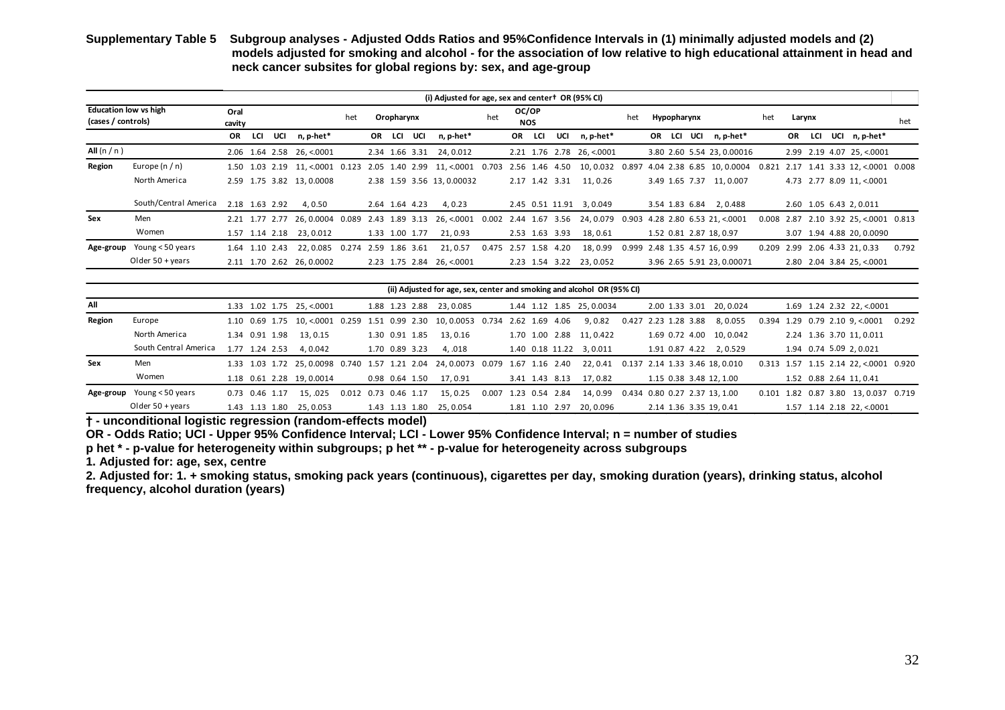#### **Supplementary Table 5 Subgroup analyses - Adjusted Odds Ratios and 95%Confidence Intervals in (1) minimally adjusted models and (2) models adjusted for smoking and alcohol - for the association of low relative to high educational attainment in head and neck cancer subsites for global regions by: sex, and age-group**

|                                                    |                            |                |                |     |                                                |     |                |            |                | moders adjusted for smoking and alcohol - for the association of fow relative to high cudoational attainment in head and<br>neck cancer subsites for global regions by: sex, and age-group |                      |                     |                |                           |     |             |                                 |       |           |     |                                       |       |
|----------------------------------------------------|----------------------------|----------------|----------------|-----|------------------------------------------------|-----|----------------|------------|----------------|--------------------------------------------------------------------------------------------------------------------------------------------------------------------------------------------|----------------------|---------------------|----------------|---------------------------|-----|-------------|---------------------------------|-------|-----------|-----|---------------------------------------|-------|
|                                                    |                            |                |                |     |                                                |     |                |            |                | (i) Adjusted for age, sex and center <sup>+</sup> OR (95% CI)                                                                                                                              |                      |                     |                |                           |     |             |                                 |       |           |     |                                       |       |
| <b>Education low vs high</b><br>(cases / controls) |                            | Oral<br>cavity |                |     |                                                | het |                | Oropharynx |                |                                                                                                                                                                                            | het                  | OC/OP<br><b>NOS</b> |                |                           | het | Hypopharynx |                                 | het   | Larynx    |     |                                       | het   |
|                                                    |                            | OR.            | LCI            | UCI | n, p-het*                                      |     |                | OR LCI     | UCI            | n, p-het*                                                                                                                                                                                  |                      | OR LCI              | UCI            | n, p-het*                 |     |             | OR LCI UCI n, p-het*            |       | <b>OR</b> | LCI | UCI n, p-het*                         |       |
| All $(n/n)$                                        |                            |                |                |     | 2.06 1.64 2.58 26, <0001                       |     |                |            |                | 2.34 1.66 3.31 24, 0.012                                                                                                                                                                   |                      |                     |                | 2.21 1.76 2.78 26, < 0001 |     |             | 3.80 2.60 5.54 23, 0.00016      |       |           |     | 2.99 2.19 4.07 25, <.0001             |       |
| Region                                             | Europe $(n/n)$             |                |                |     | 1.50 1.03 2.19 11, <.0001 0.123                |     |                |            |                | 2.05 1.40 2.99 11, <.0001 0.703                                                                                                                                                            |                      |                     | 2.56 1.46 4.50 | 10,0.032 0.897            |     |             | 4.04 2.38 6.85 10, 0.0004       | 0.821 |           |     | 2.17 1.41 3.33 12, <.0001 0.008       |       |
|                                                    | North America              |                |                |     | 2.59 1.75 3.82 13,0.0008                       |     |                |            |                | 2.38 1.59 3.56 13, 0.00032                                                                                                                                                                 |                      |                     |                | 2.17 1.42 3.31 11, 0.26   |     |             | 3.49 1.65 7.37 11, 0.007        |       |           |     | 4.73 2.77 8.09 11, <.0001             |       |
|                                                    | South/Central America      |                | 2.18 1.63 2.92 |     | 4,0.50                                         |     |                |            | 2.64 1.64 4.23 | 4,0.23                                                                                                                                                                                     |                      |                     |                | 2.45 0.51 11.91 3,0.049   |     |             | 3.54 1.83 6.84 2,0.488          |       |           |     | 2.60 1.05 6.43 2, 0.011               |       |
| Sex                                                | Men                        |                |                |     | 2.21 1.77 2.77 26, 0.0004 0.089 2.43 1.89 3.13 |     |                |            |                | 26, <.0001  0.002  2.44  1.67  3.56                                                                                                                                                        |                      |                     |                | 24, 0.079                 |     |             | 0.903 4.28 2.80 6.53 21, <.0001 |       |           |     | 0.008 2.87 2.10 3.92 25, <.0001 0.813 |       |
|                                                    | Women                      |                |                |     | 1.57 1.14 2.18 23, 0.012                       |     |                |            | 1.33 1.00 1.77 | 21,0.93                                                                                                                                                                                    |                      |                     | 2.53 1.63 3.93 | 18,0.61                   |     |             | 1.52 0.81 2.87 18, 0.97         |       |           |     | 3.07 1.94 4.88 20, 0.0090             |       |
|                                                    | Age-group Young < 50 years |                | 1.64 1.10 2.43 |     | 22,0.085 0.274                                 |     | 2.59 1.86 3.61 |            |                | 21, 0.57                                                                                                                                                                                   | 0.475 2.57 1.58 4.20 |                     |                | 18,0.99                   |     |             | 0.999 2.48 1.35 4.57 16, 0.99   |       |           |     | 0.209 2.99 2.06 4.33 21, 0.33         | 0.792 |
|                                                    | Older $50 + \gamma$ ears   |                |                |     | 2.11 1.70 2.62 26, 0.0002                      |     |                |            |                | 2.23 1.75 2.84 26, <.0001                                                                                                                                                                  |                      |                     |                | 2.23 1.54 3.22 23,0.052   |     |             | 3.96 2.65 5.91 23, 0.00071      |       |           |     | 2.80 2.04 3.84 25, <.0001             |       |

|        | (ii) Adjusted for age, sex, center and smoking and alcohol OR (95% CI) |  |                |  |                             |                      |  |  |                |                                                                                |                      |  |  |  |                           |  |                      |                               |  |                         |                                        |  |
|--------|------------------------------------------------------------------------|--|----------------|--|-----------------------------|----------------------|--|--|----------------|--------------------------------------------------------------------------------|----------------------|--|--|--|---------------------------|--|----------------------|-------------------------------|--|-------------------------|----------------------------------------|--|
| All    |                                                                        |  |                |  | 1.33 1.02 1.75 25, <.0001   |                      |  |  |                | 1.88 1.23 2.88 23,0.085                                                        |                      |  |  |  | 1.44 1.12 1.85 25, 0.0034 |  |                      | 2.00 1.33 3.01 20, 0.024      |  |                         | 1.69 1.24 2.32 22, <0001               |  |
| Region | Europe                                                                 |  |                |  |                             |                      |  |  |                | 1.10 0.69 1.75 10, <.0001 0.259 1.51 0.99 2.30 10, 0.0053 0.734 2.62 1.69 4.06 |                      |  |  |  | 9,0.82                    |  | 0.427 2.23 1.28 3.88 | 8,0.055                       |  |                         | $0.394$ 1.29 0.79 2.10 9, <.0001 0.292 |  |
|        | North America                                                          |  | 1.34 0.91 1.98 |  | 13, 0.15                    |                      |  |  | 1.30 0.91 1.85 | 13.0.16                                                                        |                      |  |  |  | 1.70 1.00 2.88 11, 0.422  |  |                      | 1.69 0.72 4.00 10, 0.042      |  |                         | 2.24 1.36 3.70 11, 0.011               |  |
|        | South Central America                                                  |  | 1.77 1.24 2.53 |  | 4.0.042                     |                      |  |  | 1.70 0.89 3.23 | 4. .018                                                                        |                      |  |  |  | 1.40 0.18 11.22 3,0.011   |  |                      | 1.91 0.87 4.22 2,0.529        |  | 1.94 0.74 5.09 2,0.021  |                                        |  |
| Sex    | Men                                                                    |  |                |  |                             |                      |  |  |                | 1.33 1.03 1.72 25, 0.0098 0.740 1.57 1.21 2.04 24, 0.0073 0.079 1.67 1.16 2.40 |                      |  |  |  | 22.0.41                   |  |                      | 0.137 2.14 1.33 3.46 18.0.010 |  |                         | 0.313 1.57 1.15 2.14 22, <.0001 0.920  |  |
|        | Women                                                                  |  |                |  | 1.18  0.61  2.28  19,0.0014 |                      |  |  | 0.98 0.64 1.50 | 17.0.91                                                                        |                      |  |  |  | 3.41 1.43 8.13 17.0.82    |  |                      | 1.15 0.38 3.48 12.1.00        |  | 1.52 0.88 2.64 11, 0.41 |                                        |  |
|        | Age-group Young < 50 years                                             |  | 0.73 0.46 1.17 |  | 15.025                      | 0.012 0.73 0.46 1.17 |  |  |                | 15.0.25                                                                        | 0.007 1.23 0.54 2.84 |  |  |  | 14.0.99                   |  |                      | 0.434 0.80 0.27 2.37 13.1.00  |  |                         | 0.101 1.82 0.87 3.80 13, 0.037 0.719   |  |
|        | Older $50 + \gamma$ ears                                               |  |                |  | 1.43 1.13 1.80 25.0.053     |                      |  |  |                | 1.43 1.13 1.80 25.0.054                                                        |                      |  |  |  | 1.81 1.10 2.97 20.0.096   |  |                      | 2.14 1.36 3.35 19, 0.41       |  |                         | 1.57 1.14 2.18 22, <.0001              |  |

**† - unconditional logistic regression (random-effects model)**

**OR - Odds Ratio; UCI - Upper 95% Confidence Interval; LCI - Lower 95% Confidence Interval; n = number of studies**

**p het \* - p-value for heterogeneity within subgroups; p het \*\* - p-value for heterogeneity across subgroups**

**1. Adjusted for: age, sex, centre**

**2. Adjusted for: 1. + smoking status, smoking pack years (continuous), cigarettes per day, smoking duration (years), drinking status, alcohol frequency, alcohol duration (years)**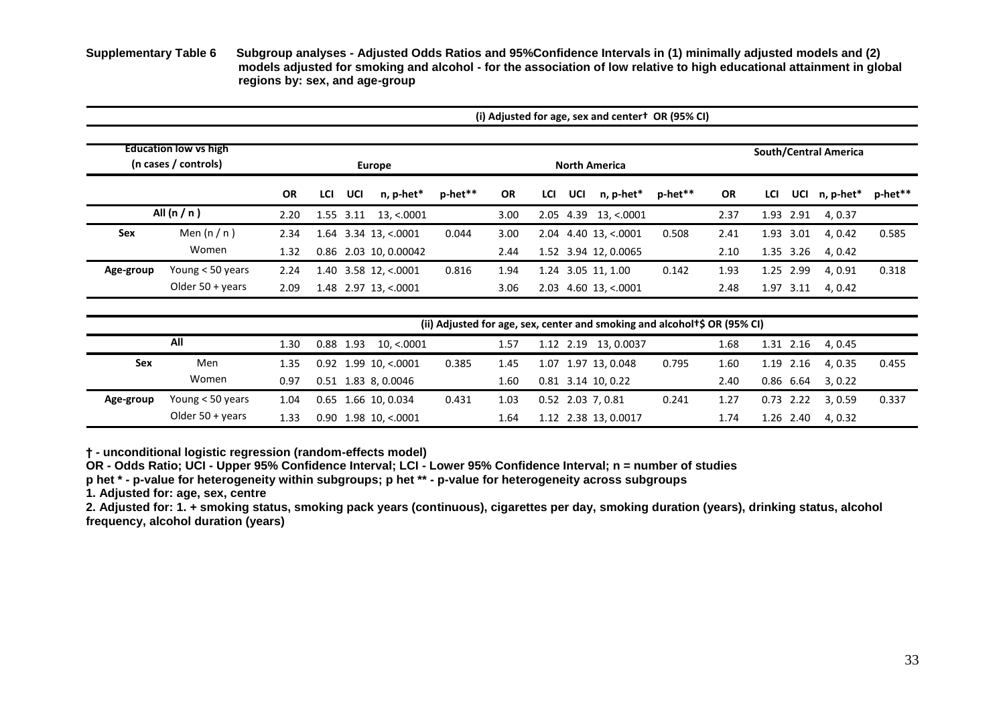**Supplementary Table 6 Subgroup analyses - Adjusted Odds Ratios and 95%Confidence Intervals in (1) minimally adjusted models and (2) models adjusted for smoking and alcohol - for the association of low relative to high educational attainment in global regions by: sex, and age-group**

|           |                                                      |           |     |           |                        | (i) Adjusted for age, sex and center + OR (95% CI)                                     |           |     |     |                      |         |                       |     |             |           |         |  |  |
|-----------|------------------------------------------------------|-----------|-----|-----------|------------------------|----------------------------------------------------------------------------------------|-----------|-----|-----|----------------------|---------|-----------------------|-----|-------------|-----------|---------|--|--|
|           | <b>Education low vs high</b><br>(n cases / controls) |           |     |           | <b>Europe</b>          |                                                                                        |           |     |     | <b>North America</b> |         | South/Central America |     |             |           |         |  |  |
|           |                                                      | <b>OR</b> | LCI | UCI       | n, p-het*              | p-het**                                                                                | <b>OR</b> | LCI | UCI | n, p-het*            | p-het** | <b>OR</b>             | LCI | UCI         | n, p-het* | p-het** |  |  |
|           | All $(n/n)$                                          | 2.20      |     | 1.55 3.11 | 13, < 0001             |                                                                                        | 3.00      |     |     | 2.05 4.39 13, <.0001 |         | 2.37                  |     | 1.93 2.91   | 4, 0.37   |         |  |  |
| Sex       | Men $(n/n)$                                          | 2.34      |     |           | $1.64$ 3.34 13, <.0001 | 0.044                                                                                  | 3.00      |     |     | 2.04 4.40 13, <.0001 | 0.508   | 2.41                  |     | 1.93 3.01   | 4, 0.42   | 0.585   |  |  |
|           | Women                                                | 1.32      |     |           | 0.86 2.03 10, 0.00042  |                                                                                        | 2.44      |     |     | 1.52 3.94 12, 0.0065 |         | 2.10                  |     | 1.35 3.26   | 4, 0.42   |         |  |  |
| Age-group | Young < 50 years                                     | 2.24      |     |           | 1.40 3.58 12, <.0001   | 0.816                                                                                  | 1.94      |     |     | 1.24 3.05 11, 1.00   | 0.142   | 1.93                  |     | 1.25 2.99   | 4, 0.91   | 0.318   |  |  |
|           | Older $50 + \gamma$ ears                             | 2.09      |     |           | 1.48 2.97 13, <.0001   |                                                                                        | 3.06      |     |     | 2.03 4.60 13, <.0001 |         | 2.48                  |     | 1.97 3.11   | 4, 0.42   |         |  |  |
|           |                                                      |           |     |           |                        | (ii) Adjusted for age, sex, center and smoking and alcohol <sup>+</sup> \$ OR (95% CI) |           |     |     |                      |         |                       |     |             |           |         |  |  |
|           | All                                                  | 1.30      |     | 0.88 1.93 | 10, < 0001             |                                                                                        | 1.57      |     |     | 1.12 2.19 13, 0.0037 |         | 1.68                  |     | 1.31 2.16   | 4, 0.45   |         |  |  |
| Sex       | Men                                                  | 1.35      |     |           | $0.92$ 1.99 10, <.0001 | 0.385                                                                                  | 1.45      |     |     | 1.07 1.97 13, 0.048  | 0.795   | 1.60                  |     | 1.19 2.16   | 4, 0.35   | 0.455   |  |  |
|           | Women                                                | 0.97      |     |           | 0.51 1.83 8, 0.0046    |                                                                                        | 1.60      |     |     | $0.81$ 3.14 10, 0.22 |         | 2.40                  |     | 0.86 6.64   | 3, 0.22   |         |  |  |
| Age-group | Young < 50 years                                     | 1.04      |     |           | 0.65 1.66 10, 0.034    | 0.431                                                                                  | 1.03      |     |     | $0.52$ 2.03 7, 0.81  | 0.241   | 1.27                  |     | $0.73$ 2.22 | 3, 0.59   | 0.337   |  |  |
|           | Older $50 + \gamma$ ears                             | 1.33      |     |           | $0.90$ 1.98 10, <.0001 |                                                                                        | 1.64      |     |     | 1.12 2.38 13, 0.0017 |         | 1.74                  |     | 1.26 2.40   | 4, 0.32   |         |  |  |

**† - unconditional logistic regression (random-effects model)**

**OR - Odds Ratio; UCI - Upper 95% Confidence Interval; LCI - Lower 95% Confidence Interval; n = number of studies**

**p het \* - p-value for heterogeneity within subgroups; p het \*\* - p-value for heterogeneity across subgroups**

**1. Adjusted for: age, sex, centre**

**2. Adjusted for: 1. + smoking status, smoking pack years (continuous), cigarettes per day, smoking duration (years), drinking status, alcohol frequency, alcohol duration (years)**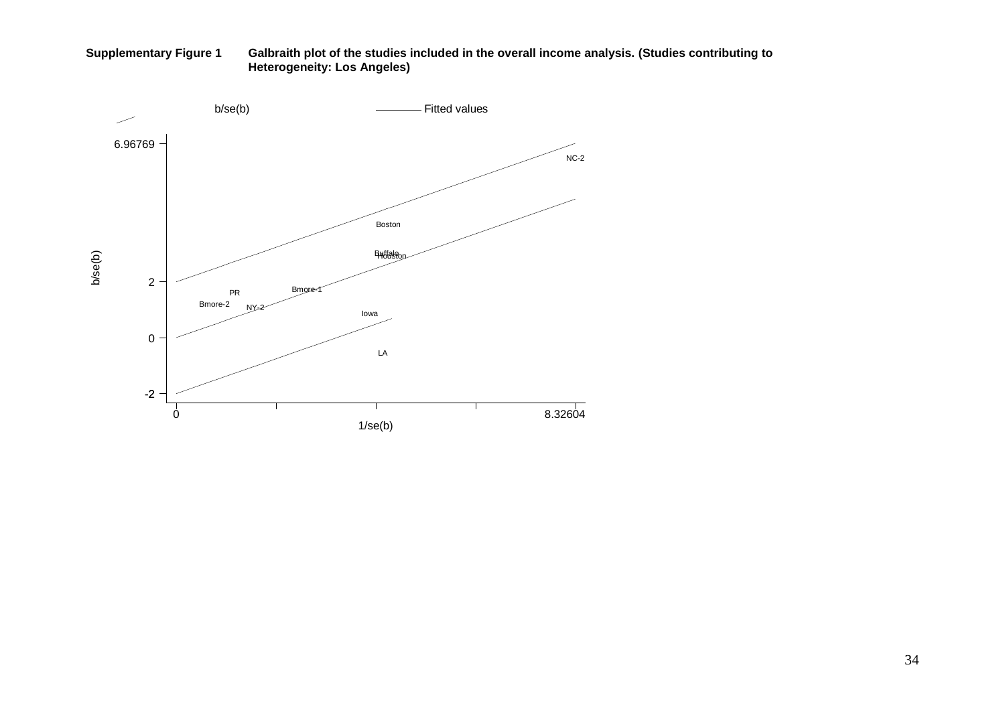**Supplementary Figure 1 Galbraith plot of the studies included in the overall income analysis. (Studies contributing to Heterogeneity: Los Angeles)**

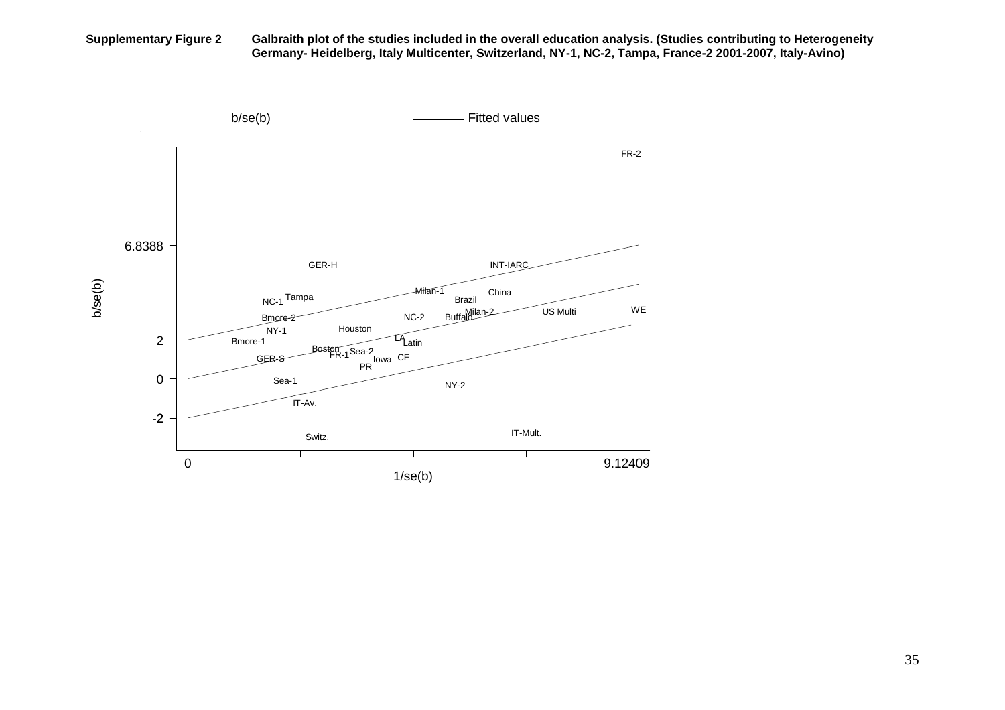**Supplementary Figure 2 Galbraith plot of the studies included in the overall education analysis. (Studies contributing to Heterogeneity Germany- Heidelberg, Italy Multicenter, Switzerland, NY-1, NC-2, Tampa, France-2 2001-2007, Italy-Avino)** 

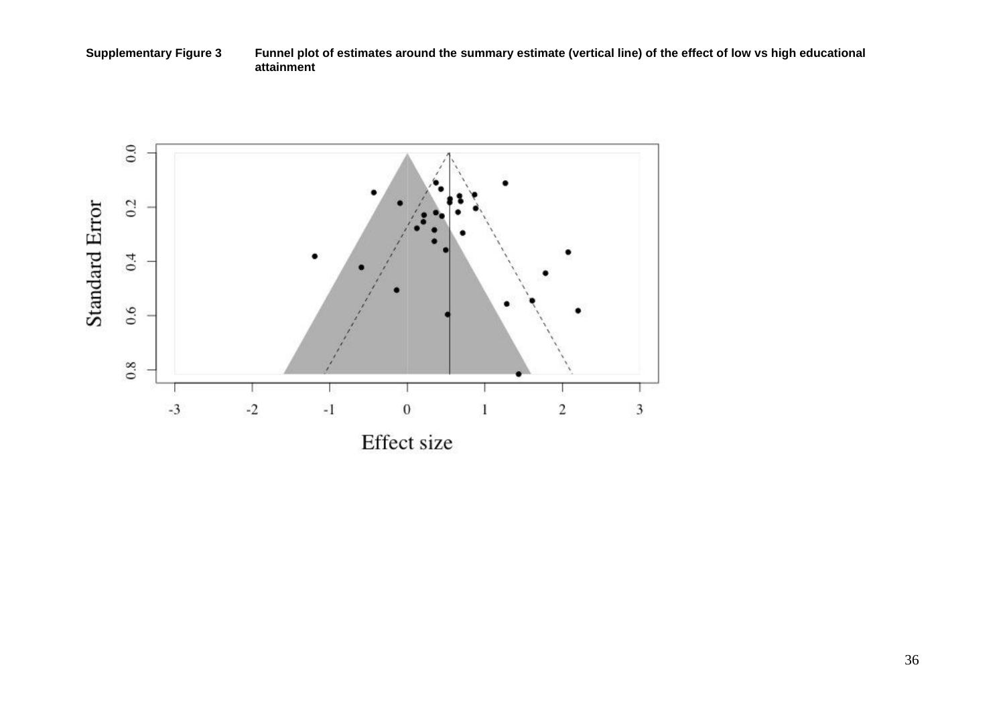**Supplementary Figure 3 Funnel plot of estimates around the summary estimate (vertical line) of the effect of low vs high educational attainment** 

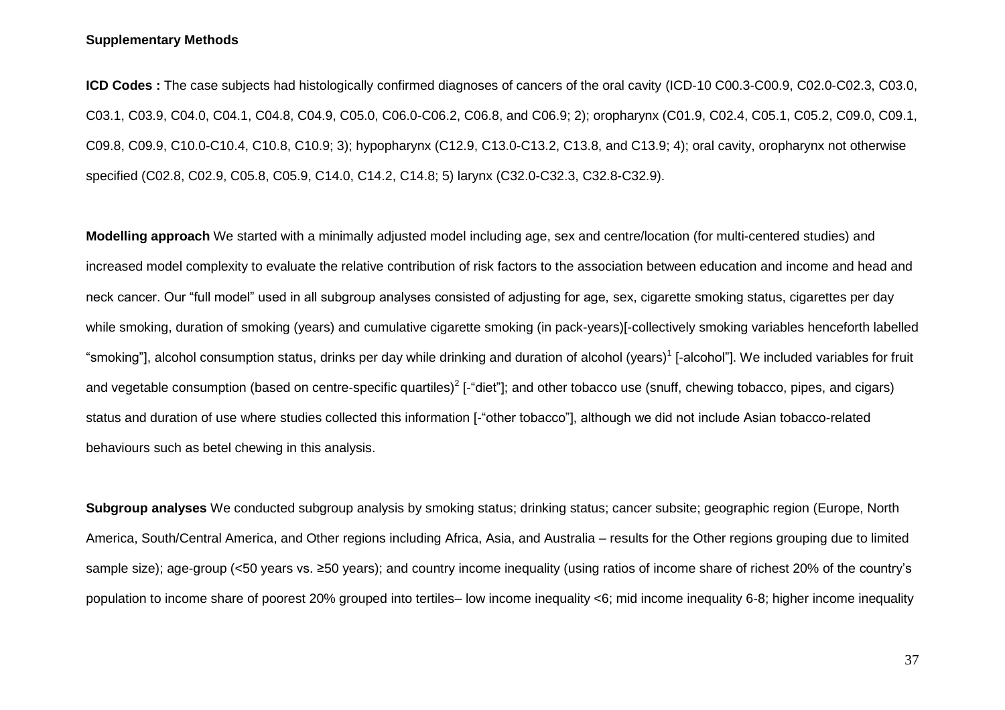#### **Supplementary Methods**

**ICD Codes :** The case subjects had histologically confirmed diagnoses of cancers of the oral cavity (ICD-10 C00.3-C00.9, C02.0-C02.3, C03.0, C03.1, C03.9, C04.0, C04.1, C04.8, C04.9, C05.0, C06.0-C06.2, C06.8, and C06.9; 2); oropharynx (C01.9, C02.4, C05.1, C05.2, C09.0, C09.1, C09.8, C09.9, C10.0-C10.4, C10.8, C10.9; 3); hypopharynx (C12.9, C13.0-C13.2, C13.8, and C13.9; 4); oral cavity, oropharynx not otherwise specified (C02.8, C02.9, C05.8, C05.9, C14.0, C14.2, C14.8; 5) larynx (C32.0-C32.3, C32.8-C32.9).

**Modelling approach** We started with a minimally adjusted model including age, sex and centre/location (for multi-centered studies) and increased model complexity to evaluate the relative contribution of risk factors to the association between education and income and head and neck cancer. Our "full model" used in all subgroup analyses consisted of adjusting for age, sex, cigarette smoking status, cigarettes per day while smoking, duration of smoking (years) and cumulative cigarette smoking (in pack-years)[-collectively smoking variables henceforth labelled "smoking"], alcohol consumption status, drinks per day while drinking and duration of alcohol (years)<sup>1</sup> [-alcohol"]. We included variables for fruit and vegetable consumption (based on centre-specific quartiles)<sup>2</sup> [-"diet"]; and other tobacco use (snuff, chewing tobacco, pipes, and cigars) status and duration of use where studies collected this information [-"other tobacco"], although we did not include Asian tobacco-related behaviours such as betel chewing in this analysis.

**Subgroup analyses** We conducted subgroup analysis by smoking status; drinking status; cancer subsite; geographic region (Europe, North America, South/Central America, and Other regions including Africa, Asia, and Australia – results for the Other regions grouping due to limited sample size); age-group (<50 years vs. ≥50 years); and country income inequality (using ratios of income share of richest 20% of the country's population to income share of poorest 20% grouped into tertiles– low income inequality <6; mid income inequality 6-8; higher income inequality